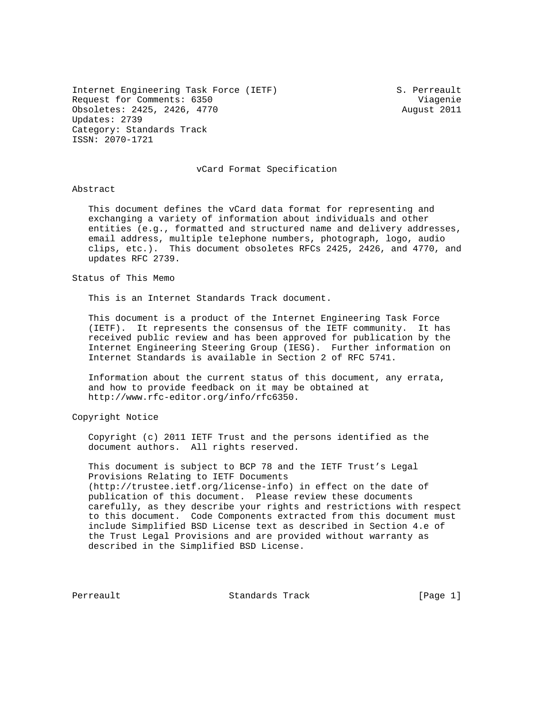Internet Engineering Task Force (IETF) S. Perreault Request for Comments: 6350 Viagenie Obsoletes: 2425, 2426, 4770 August 2011 Updates: 2739 Category: Standards Track ISSN: 2070-1721

### vCard Format Specification

## Abstract

 This document defines the vCard data format for representing and exchanging a variety of information about individuals and other entities (e.g., formatted and structured name and delivery addresses, email address, multiple telephone numbers, photograph, logo, audio clips, etc.). This document obsoletes RFCs 2425, 2426, and 4770, and updates RFC 2739.

### Status of This Memo

This is an Internet Standards Track document.

 This document is a product of the Internet Engineering Task Force (IETF). It represents the consensus of the IETF community. It has received public review and has been approved for publication by the Internet Engineering Steering Group (IESG). Further information on Internet Standards is available in Section 2 of RFC 5741.

 Information about the current status of this document, any errata, and how to provide feedback on it may be obtained at http://www.rfc-editor.org/info/rfc6350.

Copyright Notice

 Copyright (c) 2011 IETF Trust and the persons identified as the document authors. All rights reserved.

 This document is subject to BCP 78 and the IETF Trust's Legal Provisions Relating to IETF Documents (http://trustee.ietf.org/license-info) in effect on the date of publication of this document. Please review these documents carefully, as they describe your rights and restrictions with respect to this document. Code Components extracted from this document must include Simplified BSD License text as described in Section 4.e of the Trust Legal Provisions and are provided without warranty as described in the Simplified BSD License.

Perreault Standards Track [Page 1]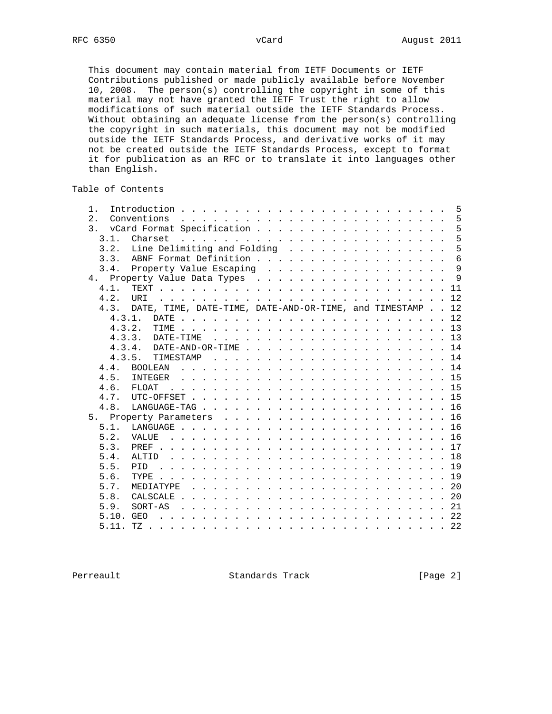This document may contain material from IETF Documents or IETF Contributions published or made publicly available before November 10, 2008. The person(s) controlling the copyright in some of this material may not have granted the IETF Trust the right to allow modifications of such material outside the IETF Standards Process. Without obtaining an adequate license from the person(s) controlling the copyright in such materials, this document may not be modified outside the IETF Standards Process, and derivative works of it may not be created outside the IETF Standards Process, except to format it for publication as an RFC or to translate it into languages other than English.

## Table of Contents

| 1. |                |                                                                                                   | -5             |
|----|----------------|---------------------------------------------------------------------------------------------------|----------------|
| 2. |                | Conventions                                                                                       |                |
|    | $\mathcal{E}$  |                                                                                                   | 5              |
|    | 3.1.           | Charset                                                                                           | 5              |
|    | 3.2.           | Line Delimiting and Folding                                                                       | 5              |
|    | 3.3.           | ABNF Format Definition                                                                            | 6              |
|    | 3.4.           | Property Value Escaping                                                                           | $\overline{9}$ |
|    |                |                                                                                                   | 9              |
|    | 4.1.           |                                                                                                   |                |
|    | 4.2.           | URI                                                                                               |                |
|    |                | 4.3. DATE, TIME, DATE-TIME, DATE-AND-OR-TIME, and TIMESTAMP 12                                    |                |
|    |                |                                                                                                   |                |
|    |                | 4.3.2.                                                                                            |                |
|    |                |                                                                                                   |                |
|    |                | $4.3.4.$ DATE-AND-OR-TIME $\ldots$ $\ldots$ $\ldots$ $\ldots$ $\ldots$ $\ldots$ $\ldots$ $\ldots$ |                |
|    |                | 4, 3, 5,<br>TIMESTAMP                                                                             |                |
|    | 4.4.           | BOOLEAN                                                                                           |                |
|    | 4.5.           |                                                                                                   |                |
|    | 4.6.           |                                                                                                   |                |
|    | 4.7.           |                                                                                                   |                |
|    | 4.8.           |                                                                                                   |                |
|    | 5 <sub>1</sub> |                                                                                                   |                |
|    | 5.1.           |                                                                                                   |                |
|    | 5.2.           |                                                                                                   |                |
|    | 5.3.           |                                                                                                   |                |
|    | 5.4.           |                                                                                                   |                |
|    | 5.5.           | PTD                                                                                               |                |
|    | 5.6.           |                                                                                                   |                |
|    | 5.7.           |                                                                                                   |                |
|    | 5.8.           |                                                                                                   |                |
|    | 5.9.           |                                                                                                   |                |
|    | 5.10. GEO      |                                                                                                   |                |
|    |                |                                                                                                   |                |

Perreault Standards Track [Page 2]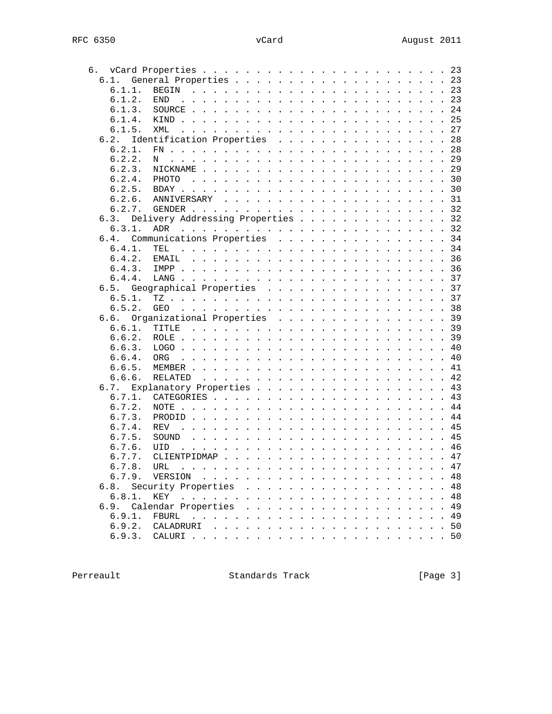| б.     |                                                                                       |
|--------|---------------------------------------------------------------------------------------|
| 6.1.   | General Properties 23                                                                 |
| 6.1.1. |                                                                                       |
| 6.1.2. | <b>END</b>                                                                            |
| 6.1.3. |                                                                                       |
| 6.1.4. |                                                                                       |
| 6.1.5. | 27<br>XML                                                                             |
| 6.2.   | Identification Properties 28                                                          |
| 6.2.1. | $FN$ .                                                                                |
| 6.2.2. | N                                                                                     |
| 6.2.3. |                                                                                       |
|        |                                                                                       |
| 6.2.4. | PHOTO                                                                                 |
| 6.2.5. |                                                                                       |
| 6.2.6. | ANNIVERSARY                                                                           |
| 6.2.7. |                                                                                       |
| 6.3.   | Delivery Addressing Properties<br>32                                                  |
| 6.3.1. | ADR                                                                                   |
| 6.4.   | Communications Properties 34                                                          |
| 6.4.1. | TEL                                                                                   |
| 6.4.2. |                                                                                       |
| 6.4.3. |                                                                                       |
| 6.4.4. |                                                                                       |
| 6.5.   | Geographical Properties 37                                                            |
| 6.5.1. |                                                                                       |
| 6.5.2. | GEO                                                                                   |
| 6.6.   | Organizational Properties 39                                                          |
| 6.6.1. | TITLE                                                                                 |
|        |                                                                                       |
| 6.6.2. |                                                                                       |
| 6.6.3. |                                                                                       |
| 6.6.4. | 0RG                                                                                   |
| 6.6.5. |                                                                                       |
| 6.6.6. | 42<br>RELATED                                                                         |
| 6.7.   | Explanatory Properties 43                                                             |
| 6.7.1. |                                                                                       |
| 6.7.2. |                                                                                       |
| 6.7.3. |                                                                                       |
| 6.7.4. | <b>REV</b><br>$\sim$ $\sim$ $\sim$                                                    |
| 6.7.5. | SOUND                                                                                 |
| 6.7.6. | UID                                                                                   |
| 6.7.7. |                                                                                       |
| 6.7.8. | 47<br>URL                                                                             |
|        | المعامل والمعامل والمناور والقارون والقارون والقارون والقارون والقارون والقارون<br>48 |
| 6.8.   | Security Properties<br>48                                                             |
|        | 48                                                                                    |
| 6.8.1. |                                                                                       |
| 6.9.   | 49                                                                                    |
| 6.9.1. | FBURL                                                                                 |
| 6.9.2. |                                                                                       |
|        |                                                                                       |

Perreault Standards Track [Page 3]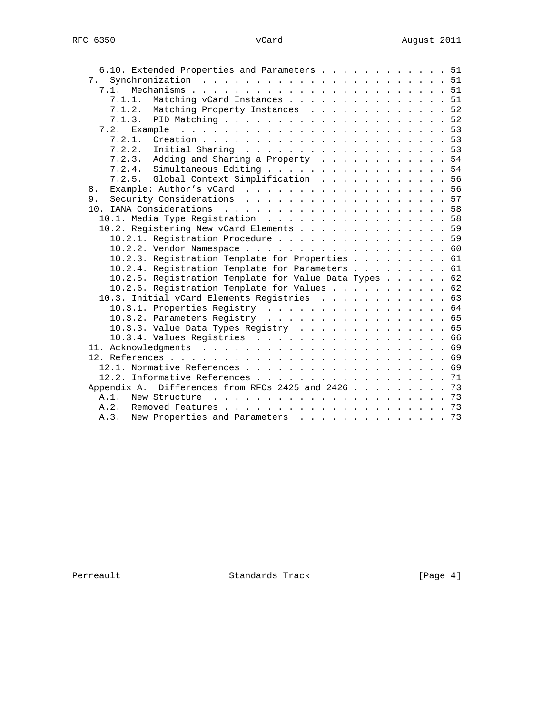| 6.10. Extended Properties and Parameters 51           |  |  |  |  |  |
|-------------------------------------------------------|--|--|--|--|--|
| 7.                                                    |  |  |  |  |  |
| 7.1.                                                  |  |  |  |  |  |
| Matching vCard Instances 51<br>7.1.1.                 |  |  |  |  |  |
| 7.1.2. Matching Property Instances 52                 |  |  |  |  |  |
|                                                       |  |  |  |  |  |
|                                                       |  |  |  |  |  |
|                                                       |  |  |  |  |  |
| 7.2.2. Initial Sharing 53                             |  |  |  |  |  |
| 7.2.3. Adding and Sharing a Property 54               |  |  |  |  |  |
| 7.2.4. Simultaneous Editing 54                        |  |  |  |  |  |
| 7.2.5. Global Context Simplification 56               |  |  |  |  |  |
| Example: Author's vCard 56<br>8.                      |  |  |  |  |  |
| Security Considerations 57<br>9.                      |  |  |  |  |  |
|                                                       |  |  |  |  |  |
| 10.1. Media Type Registration 58                      |  |  |  |  |  |
| 10.2. Registering New vCard Elements 59               |  |  |  |  |  |
| 10.2.1. Registration Procedure 59                     |  |  |  |  |  |
|                                                       |  |  |  |  |  |
| 10.2.3. Registration Template for Properties 61       |  |  |  |  |  |
| 10.2.4. Registration Template for Parameters 61       |  |  |  |  |  |
| 10.2.5. Registration Template for Value Data Types 62 |  |  |  |  |  |
| 10.2.6. Registration Template for Values 62           |  |  |  |  |  |
| 10.3. Initial vCard Elements Registries 63            |  |  |  |  |  |
| 10.3.1. Properties Registry 64                        |  |  |  |  |  |
| 10.3.2. Parameters Registry 65                        |  |  |  |  |  |
| 10.3.3. Value Data Types Registry 65                  |  |  |  |  |  |
| 10.3.4. Values Registries 66                          |  |  |  |  |  |
|                                                       |  |  |  |  |  |
|                                                       |  |  |  |  |  |
| 12.1. Normative References 69                         |  |  |  |  |  |
| 12.2. Informative References 71                       |  |  |  |  |  |
| Differences from RFCs 2425 and 2426 73<br>Appendix A. |  |  |  |  |  |
|                                                       |  |  |  |  |  |
|                                                       |  |  |  |  |  |
| A.3. New Properties and Parameters 73                 |  |  |  |  |  |

Perreault Standards Track [Page 4]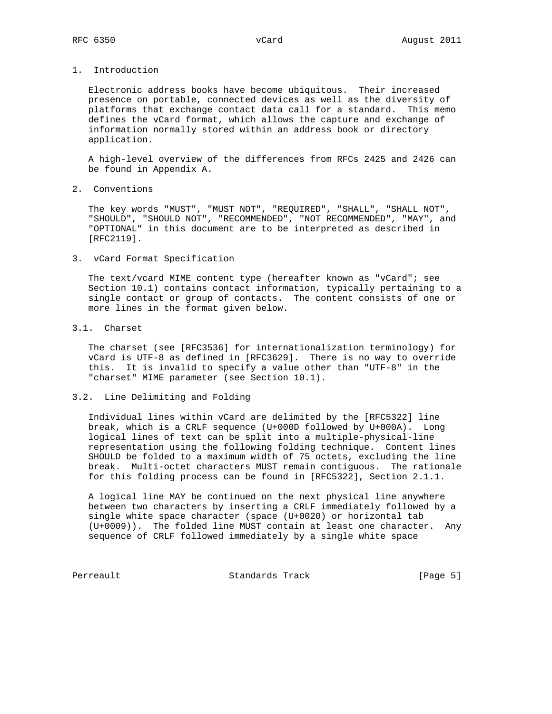1. Introduction

 Electronic address books have become ubiquitous. Their increased presence on portable, connected devices as well as the diversity of platforms that exchange contact data call for a standard. This memo defines the vCard format, which allows the capture and exchange of information normally stored within an address book or directory application.

 A high-level overview of the differences from RFCs 2425 and 2426 can be found in Appendix A.

2. Conventions

 The key words "MUST", "MUST NOT", "REQUIRED", "SHALL", "SHALL NOT", "SHOULD", "SHOULD NOT", "RECOMMENDED", "NOT RECOMMENDED", "MAY", and "OPTIONAL" in this document are to be interpreted as described in [RFC2119].

3. vCard Format Specification

 The text/vcard MIME content type (hereafter known as "vCard"; see Section 10.1) contains contact information, typically pertaining to a single contact or group of contacts. The content consists of one or more lines in the format given below.

3.1. Charset

 The charset (see [RFC3536] for internationalization terminology) for vCard is UTF-8 as defined in [RFC3629]. There is no way to override this. It is invalid to specify a value other than "UTF-8" in the "charset" MIME parameter (see Section 10.1).

3.2. Line Delimiting and Folding

 Individual lines within vCard are delimited by the [RFC5322] line break, which is a CRLF sequence (U+000D followed by U+000A). Long logical lines of text can be split into a multiple-physical-line representation using the following folding technique. Content lines SHOULD be folded to a maximum width of 75 octets, excluding the line break. Multi-octet characters MUST remain contiguous. The rationale for this folding process can be found in [RFC5322], Section 2.1.1.

 A logical line MAY be continued on the next physical line anywhere between two characters by inserting a CRLF immediately followed by a single white space character (space (U+0020) or horizontal tab (U+0009)). The folded line MUST contain at least one character. Any sequence of CRLF followed immediately by a single white space

Perreault Standards Track [Page 5]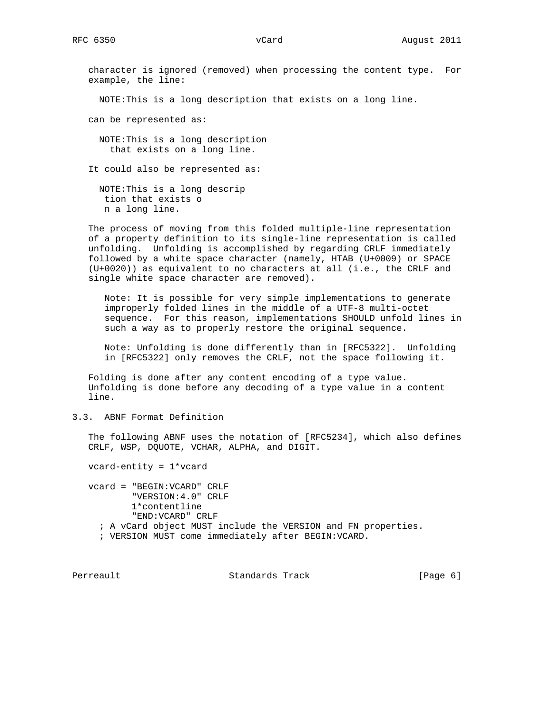character is ignored (removed) when processing the content type. For example, the line:

NOTE:This is a long description that exists on a long line.

can be represented as:

 NOTE:This is a long description that exists on a long line.

It could also be represented as:

 NOTE:This is a long descrip tion that exists o n a long line.

 The process of moving from this folded multiple-line representation of a property definition to its single-line representation is called unfolding. Unfolding is accomplished by regarding CRLF immediately followed by a white space character (namely, HTAB (U+0009) or SPACE (U+0020)) as equivalent to no characters at all (i.e., the CRLF and single white space character are removed).

 Note: It is possible for very simple implementations to generate improperly folded lines in the middle of a UTF-8 multi-octet sequence. For this reason, implementations SHOULD unfold lines in such a way as to properly restore the original sequence.

 Note: Unfolding is done differently than in [RFC5322]. Unfolding in [RFC5322] only removes the CRLF, not the space following it.

 Folding is done after any content encoding of a type value. Unfolding is done before any decoding of a type value in a content line.

3.3. ABNF Format Definition

 The following ABNF uses the notation of [RFC5234], which also defines CRLF, WSP, DQUOTE, VCHAR, ALPHA, and DIGIT.

vcard-entity = 1\*vcard

 vcard = "BEGIN:VCARD" CRLF "VERSION:4.0" CRLF 1\*contentline "END:VCARD" CRLF

- ; A vCard object MUST include the VERSION and FN properties.
- ; VERSION MUST come immediately after BEGIN:VCARD.

Perreault **Standards Track** [Page 6]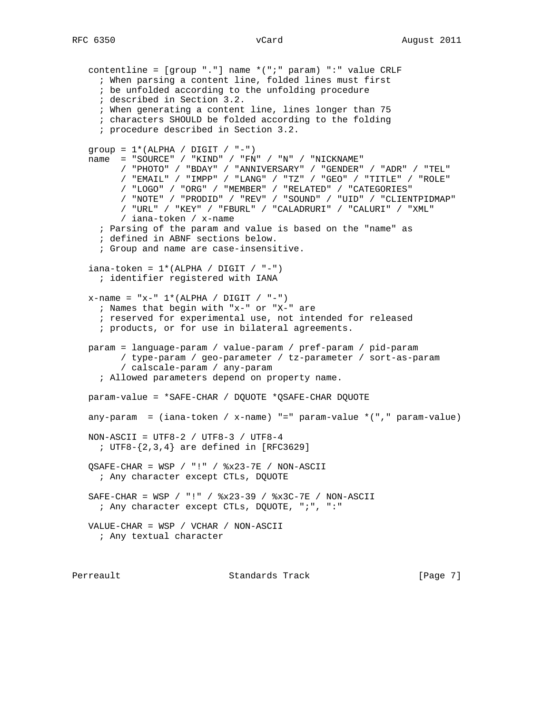```
 contentline = [group "."] name *(";" param) ":" value CRLF
   ; When parsing a content line, folded lines must first
   ; be unfolded according to the unfolding procedure
   ; described in Section 3.2.
   ; When generating a content line, lines longer than 75
   ; characters SHOULD be folded according to the folding
   ; procedure described in Section 3.2.
group = 1*(ALPHA / DIGIT / "--")name = "SOURCE" / "KIND" / "FN" / "N" / "NICKNAME"
       / "PHOTO" / "BDAY" / "ANNIVERSARY" / "GENDER" / "ADR" / "TEL"
       / "EMAIL" / "IMPP" / "LANG" / "TZ" / "GEO" / "TITLE" / "ROLE"
       / "LOGO" / "ORG" / "MEMBER" / "RELATED" / "CATEGORIES"
       / "NOTE" / "PRODID" / "REV" / "SOUND" / "UID" / "CLIENTPIDMAP"
       / "URL" / "KEY" / "FBURL" / "CALADRURI" / "CALURI" / "XML"
       / iana-token / x-name
   ; Parsing of the param and value is based on the "name" as
   ; defined in ABNF sections below.
   ; Group and name are case-insensitive.
iana-token = 1*(ALPHA / DIGIT / "--") ; identifier registered with IANA
x-name = "x-" 1*(ALPHA / DIGIT / "--") ; Names that begin with "x-" or "X-" are
   ; reserved for experimental use, not intended for released
   ; products, or for use in bilateral agreements.
 param = language-param / value-param / pref-param / pid-param
       / type-param / geo-parameter / tz-parameter / sort-as-param
       / calscale-param / any-param
   ; Allowed parameters depend on property name.
 param-value = *SAFE-CHAR / DQUOTE *QSAFE-CHAR DQUOTE
 any-param = (iana-token / x-name) "=" param-value *("," param-value)
 NON-ASCII = UTF8-2 / UTF8-3 / UTF8-4
  ; UTF8-{2,3,4} are defined in [RFC3629]
 QSAFE-CHAR = WSP / "!" / %x23-7E / NON-ASCII
   ; Any character except CTLs, DQUOTE
 SAFE-CHAR = WSP / "!" / %x23-39 / %x3C-7E / NON-ASCII
   ; Any character except CTLs, DQUOTE, ";", ":"
 VALUE-CHAR = WSP / VCHAR / NON-ASCII
   ; Any textual character
```
Perreault Standards Track [Page 7]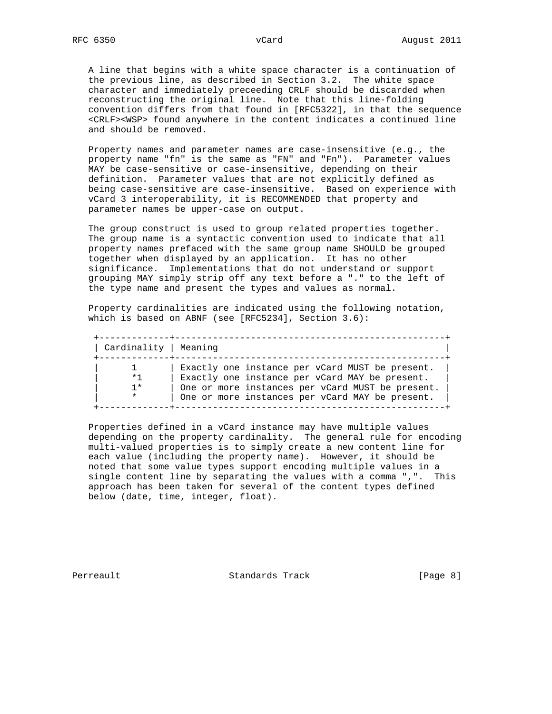A line that begins with a white space character is a continuation of the previous line, as described in Section 3.2. The white space character and immediately preceeding CRLF should be discarded when reconstructing the original line. Note that this line-folding convention differs from that found in [RFC5322], in that the sequence <CRLF><WSP> found anywhere in the content indicates a continued line and should be removed.

 Property names and parameter names are case-insensitive (e.g., the property name "fn" is the same as "FN" and "Fn"). Parameter values MAY be case-sensitive or case-insensitive, depending on their definition. Parameter values that are not explicitly defined as being case-sensitive are case-insensitive. Based on experience with vCard 3 interoperability, it is RECOMMENDED that property and parameter names be upper-case on output.

 The group construct is used to group related properties together. The group name is a syntactic convention used to indicate that all property names prefaced with the same group name SHOULD be grouped together when displayed by an application. It has no other significance. Implementations that do not understand or support grouping MAY simply strip off any text before a "." to the left of the type name and present the types and values as normal.

 Property cardinalities are indicated using the following notation, which is based on ABNF (see [RFC5234], Section 3.6):

| Cardinality   Meaning |                                                                                                     |
|-----------------------|-----------------------------------------------------------------------------------------------------|
| $*1$                  | Exactly one instance per vCard MUST be present.<br>Exactly one instance per vCard MAY be present.   |
| $1*$                  | One or more instances per vCard MUST be present.<br>One or more instances per vCard MAY be present. |

 Properties defined in a vCard instance may have multiple values depending on the property cardinality. The general rule for encoding multi-valued properties is to simply create a new content line for each value (including the property name). However, it should be noted that some value types support encoding multiple values in a single content line by separating the values with a comma ",". This approach has been taken for several of the content types defined below (date, time, integer, float).

Perreault Standards Track [Page 8]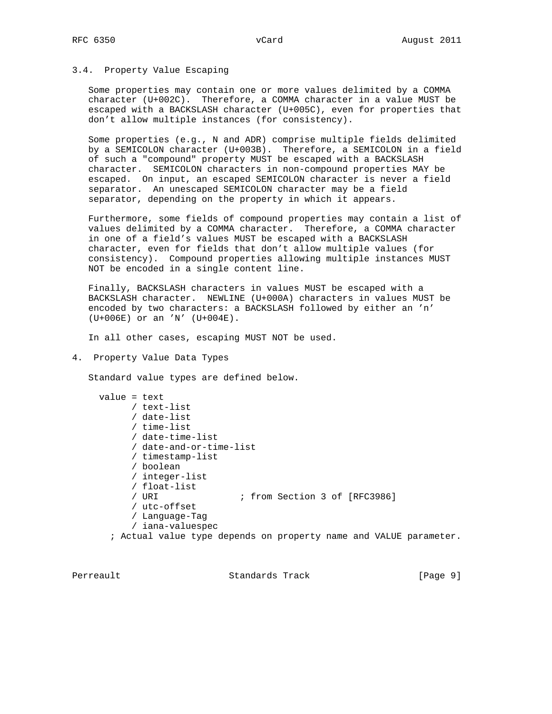## 3.4. Property Value Escaping

 Some properties may contain one or more values delimited by a COMMA character (U+002C). Therefore, a COMMA character in a value MUST be escaped with a BACKSLASH character (U+005C), even for properties that don't allow multiple instances (for consistency).

 Some properties (e.g., N and ADR) comprise multiple fields delimited by a SEMICOLON character (U+003B). Therefore, a SEMICOLON in a field of such a "compound" property MUST be escaped with a BACKSLASH character. SEMICOLON characters in non-compound properties MAY be escaped. On input, an escaped SEMICOLON character is never a field separator. An unescaped SEMICOLON character may be a field separator, depending on the property in which it appears.

 Furthermore, some fields of compound properties may contain a list of values delimited by a COMMA character. Therefore, a COMMA character in one of a field's values MUST be escaped with a BACKSLASH character, even for fields that don't allow multiple values (for consistency). Compound properties allowing multiple instances MUST NOT be encoded in a single content line.

 Finally, BACKSLASH characters in values MUST be escaped with a BACKSLASH character. NEWLINE (U+000A) characters in values MUST be encoded by two characters: a BACKSLASH followed by either an 'n' (U+006E) or an 'N' (U+004E).

In all other cases, escaping MUST NOT be used.

4. Property Value Data Types

Standard value types are defined below.

| $value = text$ |                                                                   |
|----------------|-------------------------------------------------------------------|
|                | / text-list                                                       |
|                | / date-list                                                       |
|                | / time-list                                                       |
|                | / date-time-list                                                  |
|                | / date-and-or-time-list                                           |
|                | / timestamp-list                                                  |
|                | / boolean                                                         |
|                | / integer-list                                                    |
|                | / float-list                                                      |
|                | ; from Section 3 of [RFC3986]<br>/ URI                            |
|                | / utc-offset                                                      |
|                | / Language-Tag                                                    |
|                | / iana-valuespec                                                  |
|                | ; Actual value type depends on property name and VALUE parameter. |
|                |                                                                   |

Perreault Standards Track [Page 9]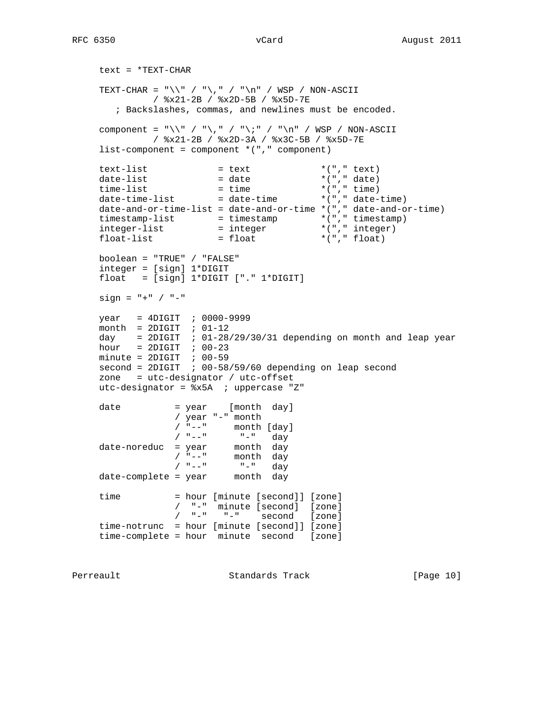```
 text = *TEXT-CHAR
   TEXT-CHAR = "\\" / "\," / "\n" / WSP / NON-ASCII
            / %x21-2B / %x2D-5B / %x5D-7E
       ; Backslashes, commas, and newlines must be encoded.
   component = "\\" / "\," / "\;" / "\n" / WSP / NON-ASCII
      / %x21-2B / %x2D-3A / %x3C-5B / %x5D-7E
    list-component = component *("," component)
text{-} list = text *("," text)date-list = date *(", " data)time-list = time *(", "time)
 date-time-list = date-time *("," date-time)
    date-and-or-time-list = date-and-or-time *("," date-and-or-time)
 timestamp-list = timestamp *("," timestamp)
integer-list = integer *("," integer)
float-list = float = float *("," float)
    boolean = "TRUE" / "FALSE"
    integer = [sign] 1*DIGIT
    float = [sign] 1*DIGIT ["." 1*DIGIT]
   sign = "+" / "-" year = 4DIGIT ; 0000-9999
month = 2DIGIT ; 01-12 day = 2DIGIT ; 01-28/29/30/31 depending on month and leap year
hour = 2DIGIT ; 00-23
minute = 2DIGIT ; 00-59
    second = 2DIGIT ; 00-58/59/60 depending on leap second
    zone = utc-designator / utc-offset
    utc-designator = %x5A ; uppercase "Z"
   date = year [month day]
               / year "-" month
 / "--" month [day]
 / "--" "-" day
 date-noreduc = year month day
 / "--" month day
 / "--" "-" day
    date-complete = year month day
    time = hour [minute [second]] [zone]
 / "-" minute [second] [zone]
 / "-" "-" second [zone]
    time-notrunc = hour [minute [second]] [zone]
    time-complete = hour minute second [zone]
```
Perreault Standards Track [Page 10]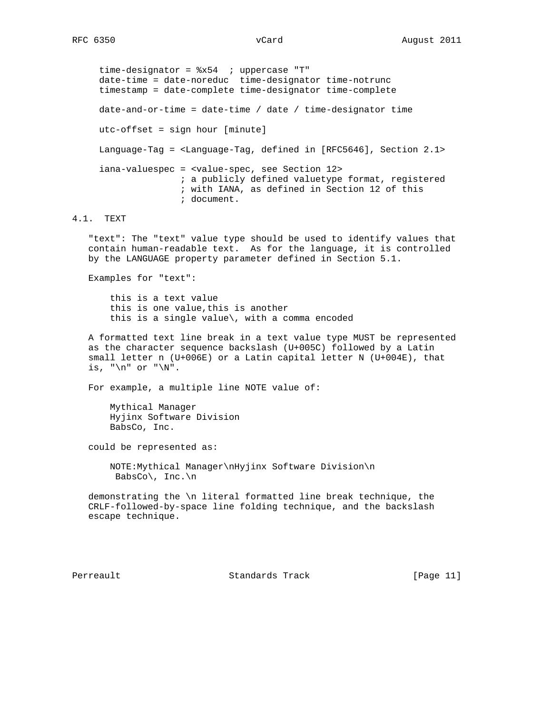time-designator =  $8x54$  ; uppercase "T" date-time = date-noreduc time-designator time-notrunc timestamp = date-complete time-designator time-complete date-and-or-time = date-time / date / time-designator time utc-offset = sign hour [minute] Language-Tag = <Language-Tag, defined in [RFC5646], Section 2.1>

 iana-valuespec = <value-spec, see Section 12> ; a publicly defined valuetype format, registered ; with IANA, as defined in Section 12 of this ; document.

## 4.1. TEXT

 "text": The "text" value type should be used to identify values that contain human-readable text. As for the language, it is controlled by the LANGUAGE property parameter defined in Section 5.1.

Examples for "text":

 this is a text value this is one value,this is another this is a single value\, with a comma encoded

 A formatted text line break in a text value type MUST be represented as the character sequence backslash (U+005C) followed by a Latin small letter n (U+006E) or a Latin capital letter N (U+004E), that is, " $\n \nu$ " or " $\N$ ".

For example, a multiple line NOTE value of:

 Mythical Manager Hyjinx Software Division BabsCo, Inc.

could be represented as:

 NOTE:Mythical Manager\nHyjinx Software Division\n BabsCo\, Inc.\n

 demonstrating the \n literal formatted line break technique, the CRLF-followed-by-space line folding technique, and the backslash escape technique.

Perreault Standards Track [Page 11]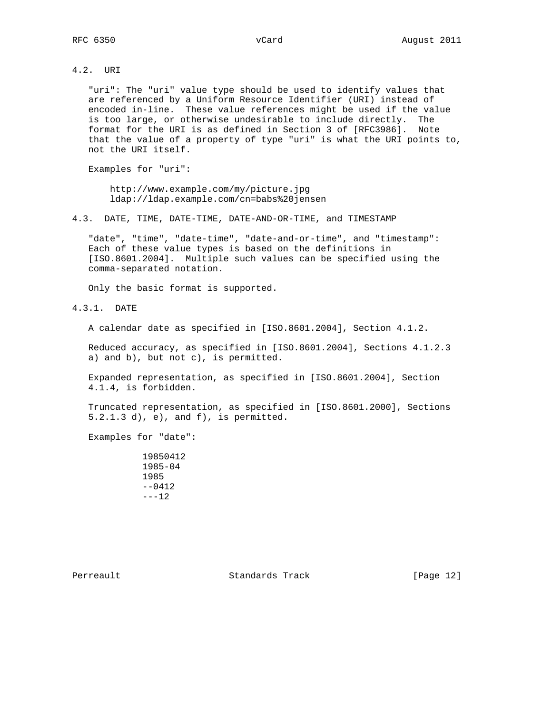4.2. URI

 "uri": The "uri" value type should be used to identify values that are referenced by a Uniform Resource Identifier (URI) instead of encoded in-line. These value references might be used if the value is too large, or otherwise undesirable to include directly. The format for the URI is as defined in Section 3 of [RFC3986]. Note that the value of a property of type "uri" is what the URI points to, not the URI itself.

Examples for "uri":

 http://www.example.com/my/picture.jpg ldap://ldap.example.com/cn=babs%20jensen

4.3. DATE, TIME, DATE-TIME, DATE-AND-OR-TIME, and TIMESTAMP

 "date", "time", "date-time", "date-and-or-time", and "timestamp": Each of these value types is based on the definitions in [ISO.8601.2004]. Multiple such values can be specified using the comma-separated notation.

Only the basic format is supported.

4.3.1. DATE

A calendar date as specified in [ISO.8601.2004], Section 4.1.2.

 Reduced accuracy, as specified in [ISO.8601.2004], Sections 4.1.2.3 a) and b), but not c), is permitted.

 Expanded representation, as specified in [ISO.8601.2004], Section 4.1.4, is forbidden.

 Truncated representation, as specified in [ISO.8601.2000], Sections 5.2.1.3 d), e), and f), is permitted.

Examples for "date":

 19850412 1985-04 1985 --0412  $---12$ 

Perreault Standards Track [Page 12]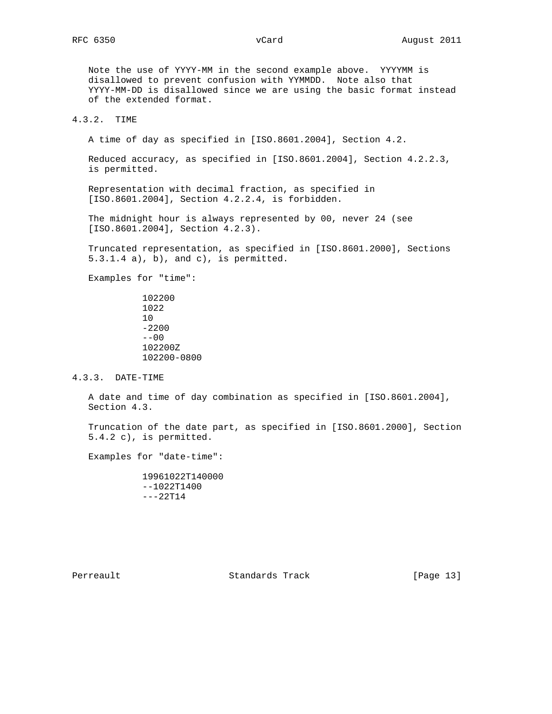Note the use of YYYY-MM in the second example above. YYYYMM is disallowed to prevent confusion with YYMMDD. Note also that YYYY-MM-DD is disallowed since we are using the basic format instead of the extended format.

# 4.3.2. TIME

A time of day as specified in [ISO.8601.2004], Section 4.2.

 Reduced accuracy, as specified in [ISO.8601.2004], Section 4.2.2.3, is permitted.

 Representation with decimal fraction, as specified in [ISO.8601.2004], Section 4.2.2.4, is forbidden.

 The midnight hour is always represented by 00, never 24 (see [ISO.8601.2004], Section 4.2.3).

 Truncated representation, as specified in [ISO.8601.2000], Sections 5.3.1.4 a), b), and c), is permitted.

Examples for "time":

 102200 1022 10 -2200  $--00$  102200Z 102200-0800

4.3.3. DATE-TIME

 A date and time of day combination as specified in [ISO.8601.2004], Section 4.3.

 Truncation of the date part, as specified in [ISO.8601.2000], Section 5.4.2 c), is permitted.

Examples for "date-time":

 19961022T140000 --1022T1400  $---22T14$ 

Perreault Standards Track [Page 13]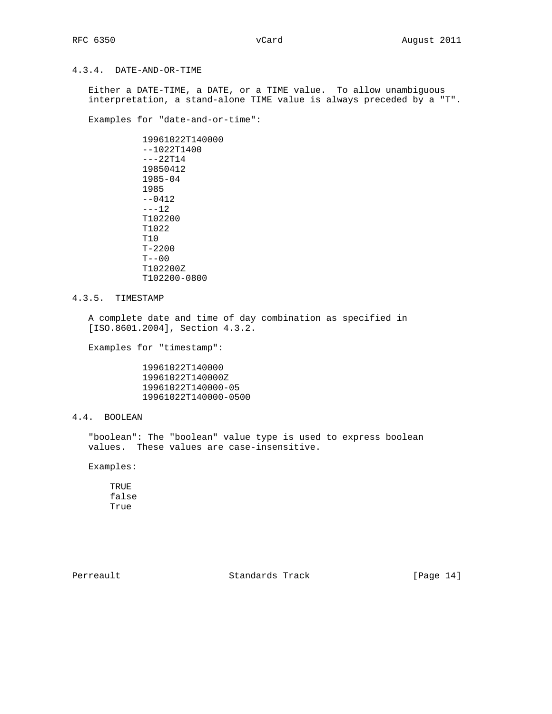## 4.3.4. DATE-AND-OR-TIME

 Either a DATE-TIME, a DATE, or a TIME value. To allow unambiguous interpretation, a stand-alone TIME value is always preceded by a "T".

Examples for "date-and-or-time":

 19961022T140000 --1022T1400  $---22T14$  19850412 1985-04 1985 --0412  $---12$  T102200 T1022 T10 T-2200  $T - -00$  T102200Z T102200-0800

## 4.3.5. TIMESTAMP

 A complete date and time of day combination as specified in [ISO.8601.2004], Section 4.3.2.

Examples for "timestamp":

 19961022T140000 19961022T140000Z 19961022T140000-05 19961022T140000-0500

## 4.4. BOOLEAN

 "boolean": The "boolean" value type is used to express boolean values. These values are case-insensitive.

Examples:

 TRUE false True

Perreault Standards Track [Page 14]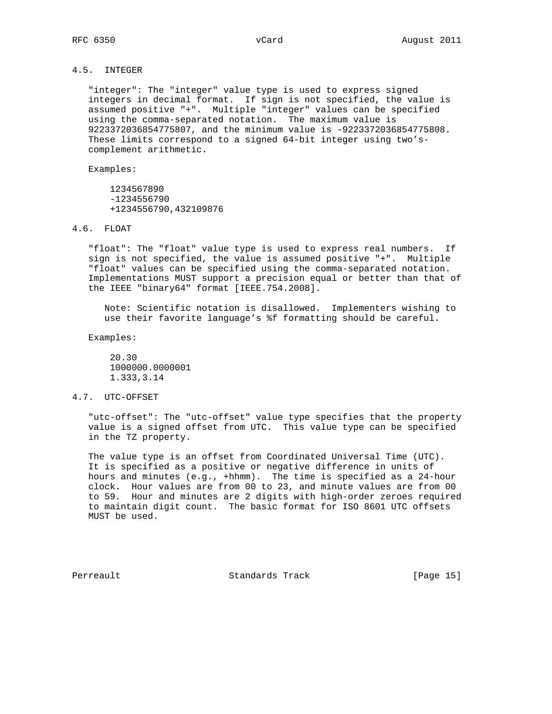## 4.5. INTEGER

 "integer": The "integer" value type is used to express signed integers in decimal format. If sign is not specified, the value is assumed positive "+". Multiple "integer" values can be specified using the comma-separated notation. The maximum value is 9223372036854775807, and the minimum value is -9223372036854775808. These limits correspond to a signed 64-bit integer using two's complement arithmetic.

Examples:

 1234567890 -1234556790 +1234556790,432109876

### 4.6. FLOAT

 "float": The "float" value type is used to express real numbers. If sign is not specified, the value is assumed positive "+". Multiple "float" values can be specified using the comma-separated notation. Implementations MUST support a precision equal or better than that of the IEEE "binary64" format [IEEE.754.2008].

 Note: Scientific notation is disallowed. Implementers wishing to use their favorite language's %f formatting should be careful.

Examples:

 20.30 1000000.0000001 1.333,3.14

### 4.7. UTC-OFFSET

 "utc-offset": The "utc-offset" value type specifies that the property value is a signed offset from UTC. This value type can be specified in the TZ property.

 The value type is an offset from Coordinated Universal Time (UTC). It is specified as a positive or negative difference in units of hours and minutes (e.g., +hhmm). The time is specified as a 24-hour clock. Hour values are from 00 to 23, and minute values are from 00 to 59. Hour and minutes are 2 digits with high-order zeroes required to maintain digit count. The basic format for ISO 8601 UTC offsets MUST be used.

Perreault Standards Track [Page 15]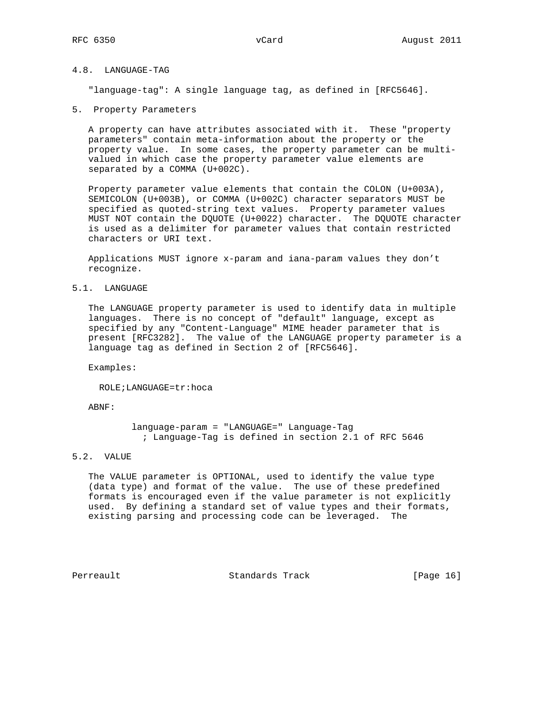## 4.8. LANGUAGE-TAG

"language-tag": A single language tag, as defined in [RFC5646].

5. Property Parameters

 A property can have attributes associated with it. These "property parameters" contain meta-information about the property or the property value. In some cases, the property parameter can be multi valued in which case the property parameter value elements are separated by a COMMA (U+002C).

 Property parameter value elements that contain the COLON (U+003A), SEMICOLON (U+003B), or COMMA (U+002C) character separators MUST be specified as quoted-string text values. Property parameter values MUST NOT contain the DQUOTE (U+0022) character. The DQUOTE character is used as a delimiter for parameter values that contain restricted characters or URI text.

 Applications MUST ignore x-param and iana-param values they don't recognize.

5.1. LANGUAGE

 The LANGUAGE property parameter is used to identify data in multiple languages. There is no concept of "default" language, except as specified by any "Content-Language" MIME header parameter that is present [RFC3282]. The value of the LANGUAGE property parameter is a language tag as defined in Section 2 of [RFC5646].

Examples:

ROLE;LANGUAGE=tr:hoca

ABNF:

 language-param = "LANGUAGE=" Language-Tag ; Language-Tag is defined in section 2.1 of RFC 5646

# 5.2. VALUE

 The VALUE parameter is OPTIONAL, used to identify the value type (data type) and format of the value. The use of these predefined formats is encouraged even if the value parameter is not explicitly used. By defining a standard set of value types and their formats, existing parsing and processing code can be leveraged. The

Perreault Standards Track [Page 16]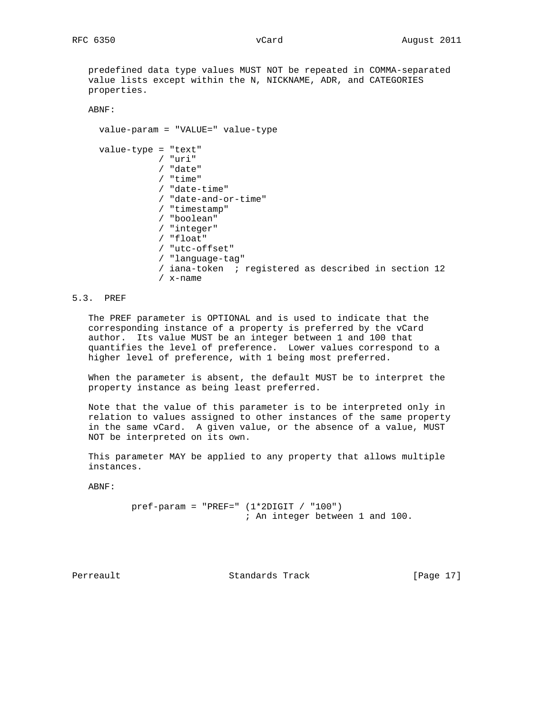predefined data type values MUST NOT be repeated in COMMA-separated value lists except within the N, NICKNAME, ADR, and CATEGORIES properties.

## ABNF:

 value-param = "VALUE=" value-type value-type = "text" / "uri" / "date" / "time" / "date-time" / "date-and-or-time" / "timestamp" / "boolean" / "integer" / "float" / "utc-offset" / "language-tag" / iana-token ; registered as described in section 12 / x-name

## 5.3. PREF

 The PREF parameter is OPTIONAL and is used to indicate that the corresponding instance of a property is preferred by the vCard author. Its value MUST be an integer between 1 and 100 that quantifies the level of preference. Lower values correspond to a higher level of preference, with 1 being most preferred.

 When the parameter is absent, the default MUST be to interpret the property instance as being least preferred.

 Note that the value of this parameter is to be interpreted only in relation to values assigned to other instances of the same property in the same vCard. A given value, or the absence of a value, MUST NOT be interpreted on its own.

 This parameter MAY be applied to any property that allows multiple instances.

ABNF:

 $pref$ -param = "PREF="  $(1*2DIGIT / "100")$ ; An integer between 1 and 100.

Perreault Standards Track [Page 17]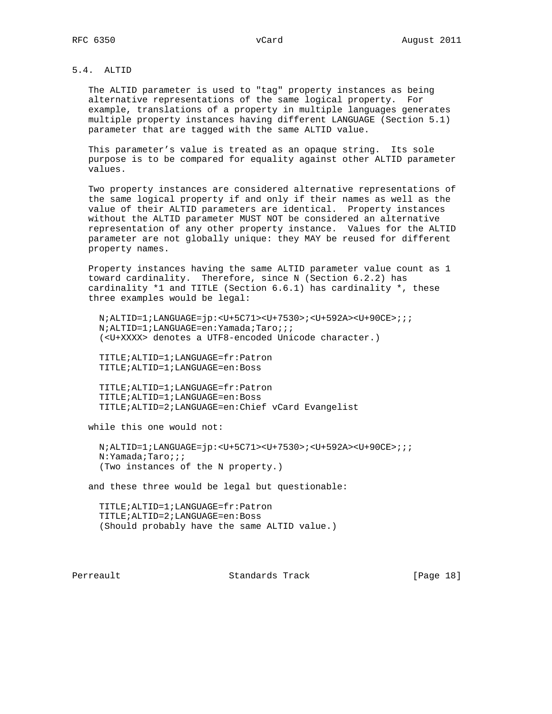## 5.4. ALTID

 The ALTID parameter is used to "tag" property instances as being alternative representations of the same logical property. For example, translations of a property in multiple languages generates multiple property instances having different LANGUAGE (Section 5.1) parameter that are tagged with the same ALTID value.

 This parameter's value is treated as an opaque string. Its sole purpose is to be compared for equality against other ALTID parameter values.

 Two property instances are considered alternative representations of the same logical property if and only if their names as well as the value of their ALTID parameters are identical. Property instances without the ALTID parameter MUST NOT be considered an alternative representation of any other property instance. Values for the ALTID parameter are not globally unique: they MAY be reused for different property names.

 Property instances having the same ALTID parameter value count as 1 toward cardinality. Therefore, since N (Section 6.2.2) has cardinality \*1 and TITLE (Section 6.6.1) has cardinality \*, these three examples would be legal:

 N;ALTID=1;LANGUAGE=jp:<U+5C71><U+7530>;<U+592A><U+90CE>;;; N;ALTID=1;LANGUAGE=en:Yamada;Taro;;; (<U+XXXX> denotes a UTF8-encoded Unicode character.)

 TITLE;ALTID=1;LANGUAGE=fr:Patron TITLE;ALTID=1;LANGUAGE=en:Boss

 TITLE;ALTID=1;LANGUAGE=fr:Patron TITLE;ALTID=1;LANGUAGE=en:Boss TITLE;ALTID=2;LANGUAGE=en:Chief vCard Evangelist

while this one would not:

 N;ALTID=1;LANGUAGE=jp:<U+5C71><U+7530>;<U+592A><U+90CE>;;; N:Yamada;Taro;;; (Two instances of the N property.)

and these three would be legal but questionable:

 TITLE;ALTID=1;LANGUAGE=fr:Patron TITLE;ALTID=2;LANGUAGE=en:Boss (Should probably have the same ALTID value.)

Perreault Standards Track [Page 18]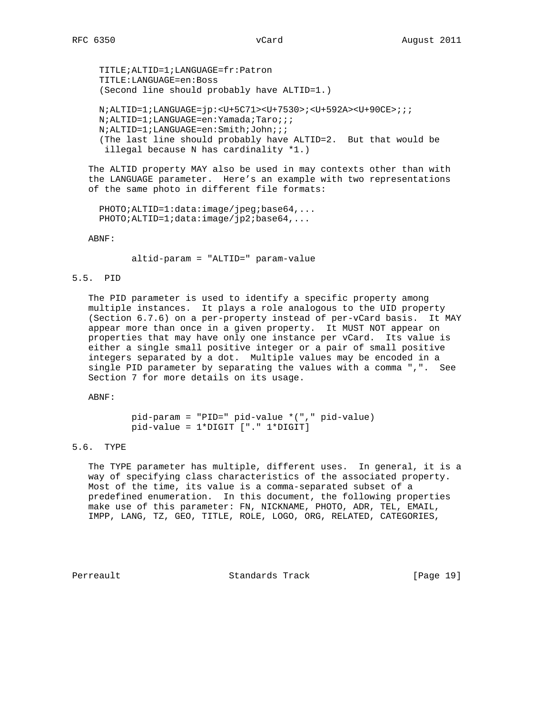TITLE;ALTID=1;LANGUAGE=fr:Patron TITLE:LANGUAGE=en:Boss (Second line should probably have ALTID=1.) N;ALTID=1;LANGUAGE=jp:<U+5C71><U+7530>;<U+592A><U+90CE>;;;

 N;ALTID=1;LANGUAGE=en:Yamada;Taro;;; N;ALTID=1;LANGUAGE=en:Smith;John;;; (The last line should probably have ALTID=2. But that would be illegal because N has cardinality \*1.)

 The ALTID property MAY also be used in may contexts other than with the LANGUAGE parameter. Here's an example with two representations of the same photo in different file formats:

 PHOTO;ALTID=1:data:image/jpeg;base64,... PHOTO;ALTID=1;data:image/jp2;base64,...

ABNF:

altid-param = "ALTID=" param-value

## 5.5. PID

 The PID parameter is used to identify a specific property among multiple instances. It plays a role analogous to the UID property (Section 6.7.6) on a per-property instead of per-vCard basis. It MAY appear more than once in a given property. It MUST NOT appear on properties that may have only one instance per vCard. Its value is either a single small positive integer or a pair of small positive integers separated by a dot. Multiple values may be encoded in a single PID parameter by separating the values with a comma ",". See Section 7 for more details on its usage.

ABNF:

 pid-param = "PID=" pid-value \*("," pid-value) pid-value = 1\*DIGIT ["." 1\*DIGIT]

# 5.6. TYPE

 The TYPE parameter has multiple, different uses. In general, it is a way of specifying class characteristics of the associated property. Most of the time, its value is a comma-separated subset of a predefined enumeration. In this document, the following properties make use of this parameter: FN, NICKNAME, PHOTO, ADR, TEL, EMAIL, IMPP, LANG, TZ, GEO, TITLE, ROLE, LOGO, ORG, RELATED, CATEGORIES,

Perreault Standards Track [Page 19]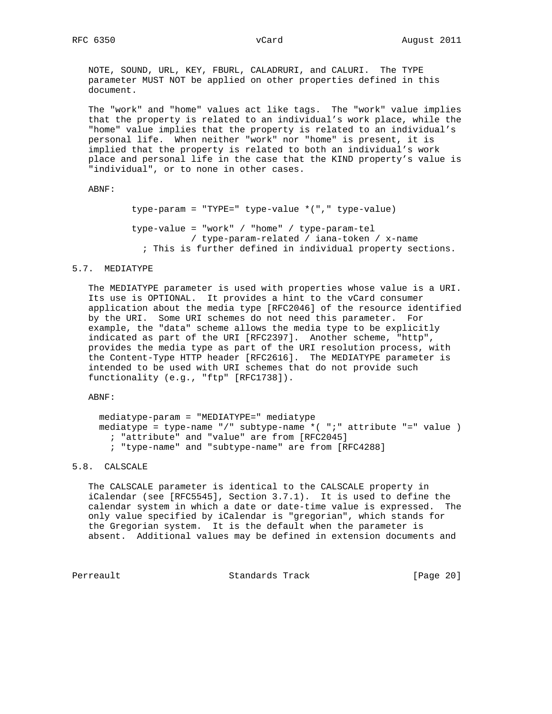NOTE, SOUND, URL, KEY, FBURL, CALADRURI, and CALURI. The TYPE parameter MUST NOT be applied on other properties defined in this document.

 The "work" and "home" values act like tags. The "work" value implies that the property is related to an individual's work place, while the "home" value implies that the property is related to an individual's personal life. When neither "work" nor "home" is present, it is implied that the property is related to both an individual's work place and personal life in the case that the KIND property's value is "individual", or to none in other cases.

### ABNF:

 type-param = "TYPE=" type-value \*("," type-value) type-value = "work" / "home" / type-param-tel / type-param-related / iana-token / x-name ; This is further defined in individual property sections.

## 5.7. MEDIATYPE

 The MEDIATYPE parameter is used with properties whose value is a URI. Its use is OPTIONAL. It provides a hint to the vCard consumer application about the media type [RFC2046] of the resource identified by the URI. Some URI schemes do not need this parameter. For example, the "data" scheme allows the media type to be explicitly indicated as part of the URI [RFC2397]. Another scheme, "http", provides the media type as part of the URI resolution process, with the Content-Type HTTP header [RFC2616]. The MEDIATYPE parameter is intended to be used with URI schemes that do not provide such functionality (e.g., "ftp" [RFC1738]).

ABNF:

 mediatype-param = "MEDIATYPE=" mediatype mediatype = type-name "/" subtype-name \*( ";" attribute "=" value ) ; "attribute" and "value" are from [RFC2045] ; "type-name" and "subtype-name" are from [RFC4288]

## 5.8. CALSCALE

 The CALSCALE parameter is identical to the CALSCALE property in iCalendar (see [RFC5545], Section 3.7.1). It is used to define the calendar system in which a date or date-time value is expressed. The only value specified by iCalendar is "gregorian", which stands for the Gregorian system. It is the default when the parameter is absent. Additional values may be defined in extension documents and

Perreault Standards Track [Page 20]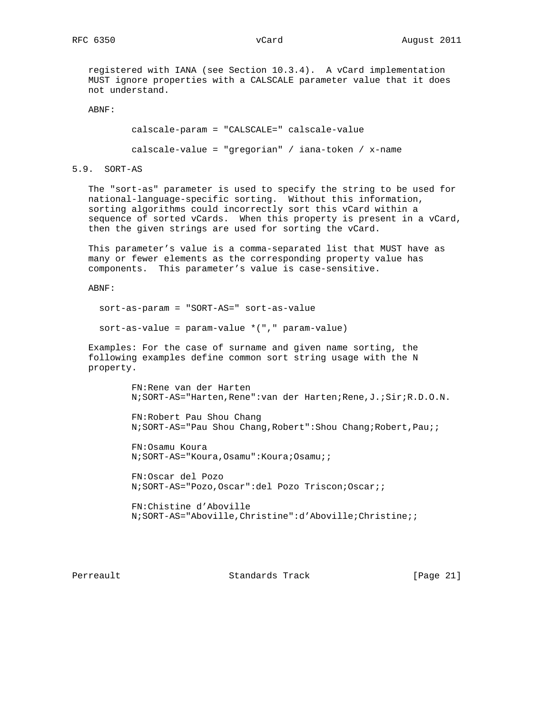registered with IANA (see Section 10.3.4). A vCard implementation MUST ignore properties with a CALSCALE parameter value that it does not understand.

ABNF:

 calscale-param = "CALSCALE=" calscale-value calscale-value = "gregorian" / iana-token / x-name

5.9. SORT-AS

 The "sort-as" parameter is used to specify the string to be used for national-language-specific sorting. Without this information, sorting algorithms could incorrectly sort this vCard within a sequence of sorted vCards. When this property is present in a vCard, then the given strings are used for sorting the vCard.

 This parameter's value is a comma-separated list that MUST have as many or fewer elements as the corresponding property value has components. This parameter's value is case-sensitive.

ABNF:

sort-as-param = "SORT-AS=" sort-as-value

sort-as-value = param-value \*("," param-value)

 Examples: For the case of surname and given name sorting, the following examples define common sort string usage with the N property.

> FN:Rene van der Harten N;SORT-AS="Harten,Rene":van der Harten;Rene,J.;Sir;R.D.O.N.

 FN:Robert Pau Shou Chang N;SORT-AS="Pau Shou Chang,Robert":Shou Chang;Robert,Pau;;

 FN:Osamu Koura N;SORT-AS="Koura,Osamu":Koura;Osamu;;

 FN:Oscar del Pozo N;SORT-AS="Pozo,Oscar":del Pozo Triscon;Oscar;;

 FN:Chistine d'Aboville N;SORT-AS="Aboville,Christine":d'Aboville;Christine;;

Perreault Standards Track [Page 21]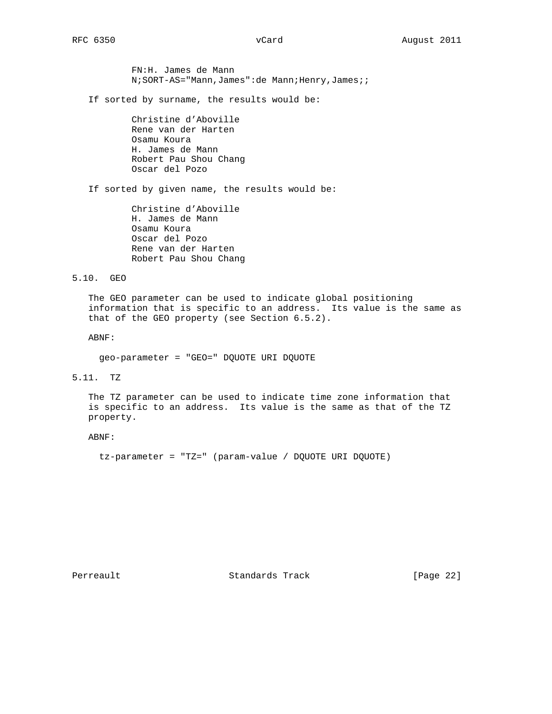FN:H. James de Mann N;SORT-AS="Mann,James":de Mann;Henry,James;;

If sorted by surname, the results would be:

 Christine d'Aboville Rene van der Harten Osamu Koura H. James de Mann Robert Pau Shou Chang Oscar del Pozo

If sorted by given name, the results would be:

 Christine d'Aboville H. James de Mann Osamu Koura Oscar del Pozo Rene van der Harten Robert Pau Shou Chang

## 5.10. GEO

 The GEO parameter can be used to indicate global positioning information that is specific to an address. Its value is the same as that of the GEO property (see Section 6.5.2).

ABNF:

geo-parameter = "GEO=" DQUOTE URI DQUOTE

# 5.11. TZ

 The TZ parameter can be used to indicate time zone information that is specific to an address. Its value is the same as that of the TZ property.

### ABNF:

tz-parameter = "TZ=" (param-value / DQUOTE URI DQUOTE)

Perreault Standards Track [Page 22]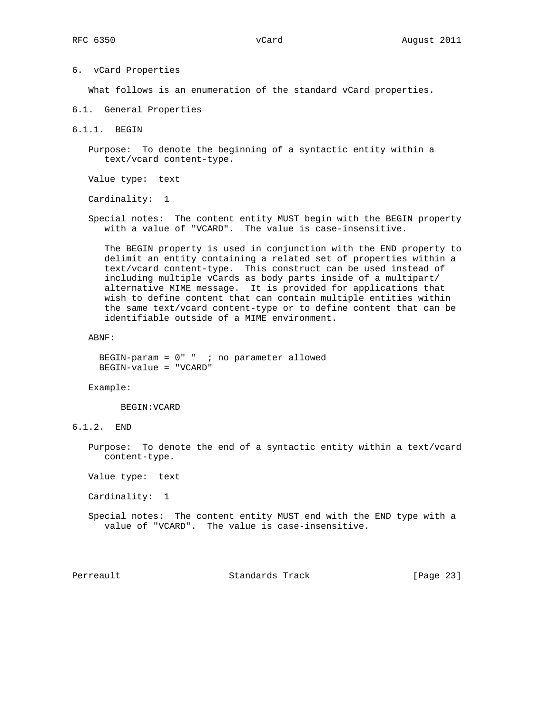6. vCard Properties

What follows is an enumeration of the standard vCard properties.

6.1. General Properties

6.1.1. BEGIN

 Purpose: To denote the beginning of a syntactic entity within a text/vcard content-type.

Value type: text

Cardinality: 1

 Special notes: The content entity MUST begin with the BEGIN property with a value of "VCARD". The value is case-insensitive.

 The BEGIN property is used in conjunction with the END property to delimit an entity containing a related set of properties within a text/vcard content-type. This construct can be used instead of including multiple vCards as body parts inside of a multipart/ alternative MIME message. It is provided for applications that wish to define content that can contain multiple entities within the same text/vcard content-type or to define content that can be identifiable outside of a MIME environment.

ABNF:

 BEGIN-param = 0" " ; no parameter allowed BEGIN-value = "VCARD"

Example:

BEGIN:VCARD

6.1.2. END

 Purpose: To denote the end of a syntactic entity within a text/vcard content-type.

Value type: text

Cardinality: 1

 Special notes: The content entity MUST end with the END type with a value of "VCARD". The value is case-insensitive.

Perreault Standards Track [Page 23]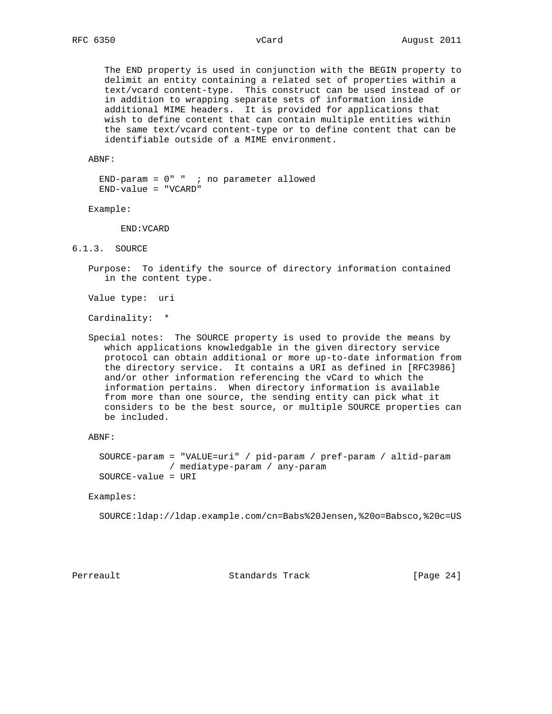The END property is used in conjunction with the BEGIN property to delimit an entity containing a related set of properties within a text/vcard content-type. This construct can be used instead of or in addition to wrapping separate sets of information inside additional MIME headers. It is provided for applications that wish to define content that can contain multiple entities within the same text/vcard content-type or to define content that can be identifiable outside of a MIME environment.

ABNF:

```
 END-param = 0" " ; no parameter allowed
 END-value = "VCARD"
```
Example:

END:VCARD

6.1.3. SOURCE

```
 Purpose: To identify the source of directory information contained
   in the content type.
```
Value type: uri

Cardinality: \*

 Special notes: The SOURCE property is used to provide the means by which applications knowledgable in the given directory service protocol can obtain additional or more up-to-date information from the directory service. It contains a URI as defined in [RFC3986] and/or other information referencing the vCard to which the information pertains. When directory information is available from more than one source, the sending entity can pick what it considers to be the best source, or multiple SOURCE properties can be included.

ABNF:

```
 SOURCE-param = "VALUE=uri" / pid-param / pref-param / altid-param
            / mediatype-param / any-param
 SOURCE-value = URI
```
Examples:

SOURCE:ldap://ldap.example.com/cn=Babs%20Jensen,%20o=Babsco,%20c=US

Perreault Standards Track [Page 24]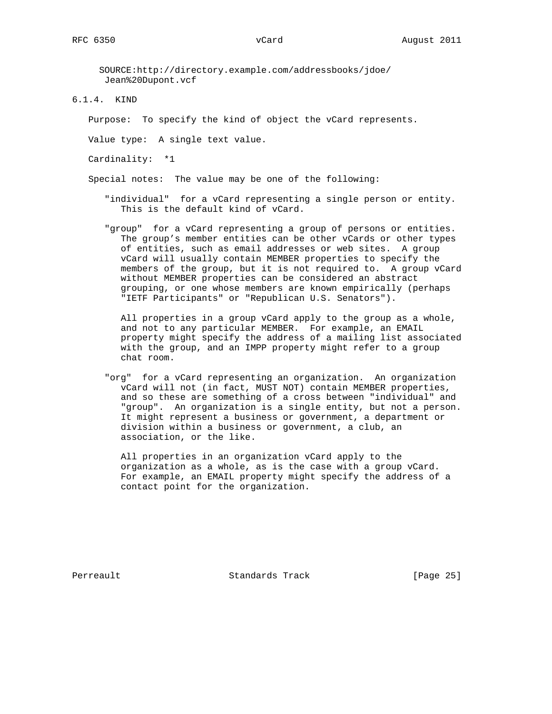SOURCE:http://directory.example.com/addressbooks/jdoe/ Jean%20Dupont.vcf

6.1.4. KIND

Purpose: To specify the kind of object the vCard represents.

Value type: A single text value.

Cardinality: \*1

Special notes: The value may be one of the following:

- "individual" for a vCard representing a single person or entity. This is the default kind of vCard.
- "group" for a vCard representing a group of persons or entities. The group's member entities can be other vCards or other types of entities, such as email addresses or web sites. A group vCard will usually contain MEMBER properties to specify the members of the group, but it is not required to. A group vCard without MEMBER properties can be considered an abstract grouping, or one whose members are known empirically (perhaps "IETF Participants" or "Republican U.S. Senators").

 All properties in a group vCard apply to the group as a whole, and not to any particular MEMBER. For example, an EMAIL property might specify the address of a mailing list associated with the group, and an IMPP property might refer to a group chat room.

 "org" for a vCard representing an organization. An organization vCard will not (in fact, MUST NOT) contain MEMBER properties, and so these are something of a cross between "individual" and "group". An organization is a single entity, but not a person. It might represent a business or government, a department or division within a business or government, a club, an association, or the like.

 All properties in an organization vCard apply to the organization as a whole, as is the case with a group vCard. For example, an EMAIL property might specify the address of a contact point for the organization.

Perreault Standards Track [Page 25]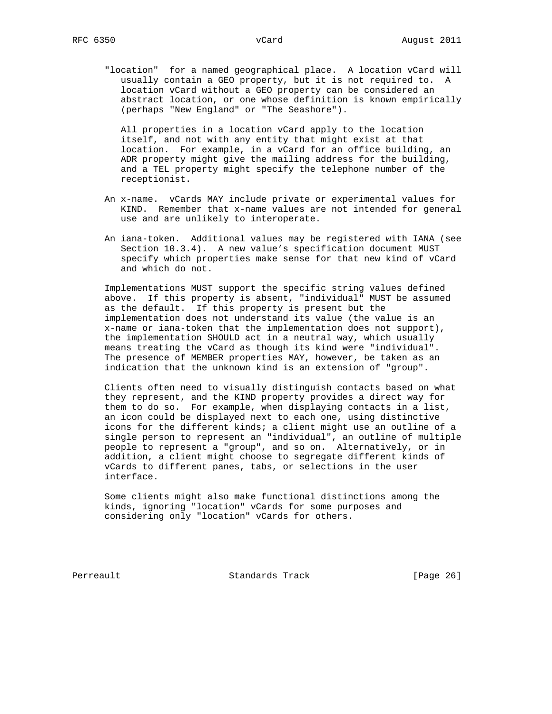"location" for a named geographical place. A location vCard will usually contain a GEO property, but it is not required to. A location vCard without a GEO property can be considered an abstract location, or one whose definition is known empirically (perhaps "New England" or "The Seashore").

 All properties in a location vCard apply to the location itself, and not with any entity that might exist at that location. For example, in a vCard for an office building, an ADR property might give the mailing address for the building, and a TEL property might specify the telephone number of the receptionist.

- An x-name. vCards MAY include private or experimental values for KIND. Remember that x-name values are not intended for general use and are unlikely to interoperate.
- An iana-token. Additional values may be registered with IANA (see Section 10.3.4). A new value's specification document MUST specify which properties make sense for that new kind of vCard and which do not.

 Implementations MUST support the specific string values defined above. If this property is absent, "individual" MUST be assumed as the default. If this property is present but the implementation does not understand its value (the value is an x-name or iana-token that the implementation does not support), the implementation SHOULD act in a neutral way, which usually means treating the vCard as though its kind were "individual". The presence of MEMBER properties MAY, however, be taken as an indication that the unknown kind is an extension of "group".

 Clients often need to visually distinguish contacts based on what they represent, and the KIND property provides a direct way for them to do so. For example, when displaying contacts in a list, an icon could be displayed next to each one, using distinctive icons for the different kinds; a client might use an outline of a single person to represent an "individual", an outline of multiple people to represent a "group", and so on. Alternatively, or in addition, a client might choose to segregate different kinds of vCards to different panes, tabs, or selections in the user interface.

 Some clients might also make functional distinctions among the kinds, ignoring "location" vCards for some purposes and considering only "location" vCards for others.

Perreault Standards Track [Page 26]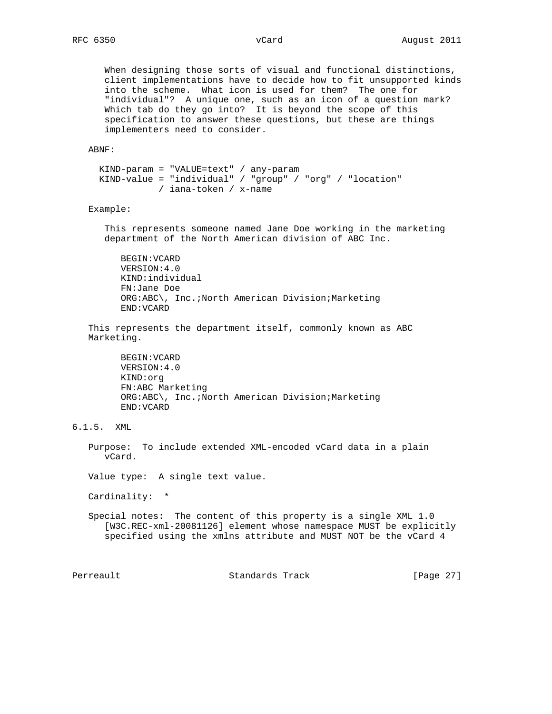When designing those sorts of visual and functional distinctions, client implementations have to decide how to fit unsupported kinds into the scheme. What icon is used for them? The one for "individual"? A unique one, such as an icon of a question mark? Which tab do they go into? It is beyond the scope of this specification to answer these questions, but these are things implementers need to consider.

ABNF:

 KIND-param = "VALUE=text" / any-param KIND-value = "individual" / "group" / "org" / "location" / iana-token / x-name

### Example:

 This represents someone named Jane Doe working in the marketing department of the North American division of ABC Inc.

 BEGIN:VCARD VERSION:4.0 KIND:individual FN:Jane Doe ORG:ABC\, Inc.;North American Division;Marketing END:VCARD

 This represents the department itself, commonly known as ABC Marketing.

 BEGIN:VCARD VERSION:4.0 KIND:org FN:ABC Marketing ORG:ABC\, Inc.;North American Division;Marketing END:VCARD

## 6.1.5. XML

 Purpose: To include extended XML-encoded vCard data in a plain vCard.

Value type: A single text value.

Cardinality: \*

 Special notes: The content of this property is a single XML 1.0 [W3C.REC-xml-20081126] element whose namespace MUST be explicitly specified using the xmlns attribute and MUST NOT be the vCard 4

Perreault Standards Track [Page 27]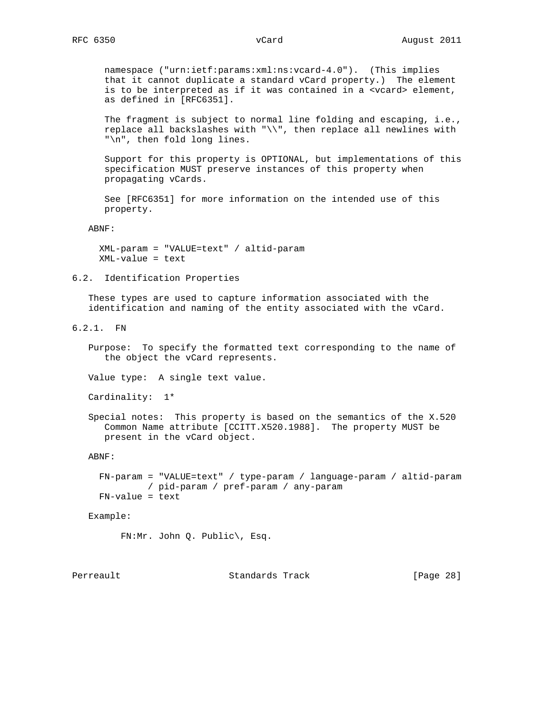namespace ("urn:ietf:params:xml:ns:vcard-4.0"). (This implies that it cannot duplicate a standard vCard property.) The element is to be interpreted as if it was contained in a <vcard> element, as defined in [RFC6351].

 The fragment is subject to normal line folding and escaping, i.e., replace all backslashes with "\\", then replace all newlines with "\n", then fold long lines.

 Support for this property is OPTIONAL, but implementations of this specification MUST preserve instances of this property when propagating vCards.

 See [RFC6351] for more information on the intended use of this property.

ABNF:

 XML-param = "VALUE=text" / altid-param XML-value = text

## 6.2. Identification Properties

 These types are used to capture information associated with the identification and naming of the entity associated with the vCard.

6.2.1. FN

 Purpose: To specify the formatted text corresponding to the name of the object the vCard represents.

Value type: A single text value.

Cardinality: 1\*

 Special notes: This property is based on the semantics of the X.520 Common Name attribute [CCITT.X520.1988]. The property MUST be present in the vCard object.

ABNF:

 FN-param = "VALUE=text" / type-param / language-param / altid-param / pid-param / pref-param / any-param FN-value = text

Example:

FN:Mr. John Q. Public\, Esq.

Perreault Standards Track [Page 28]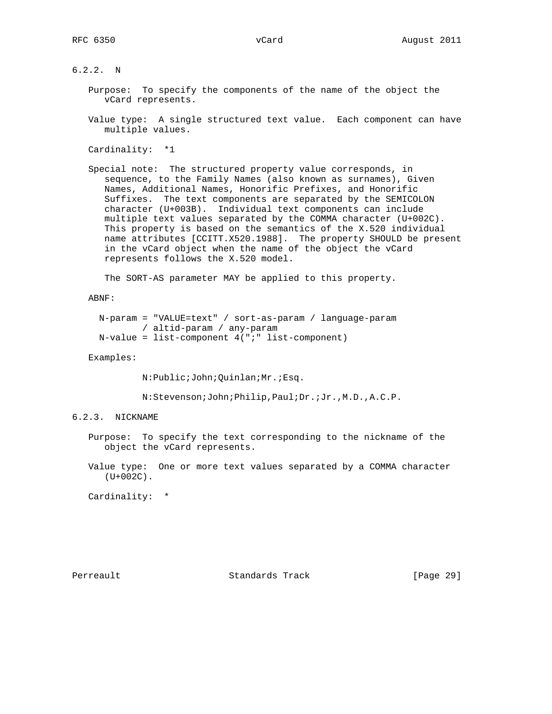6.2.2. N

- Purpose: To specify the components of the name of the object the vCard represents.
- Value type: A single structured text value. Each component can have multiple values.

Cardinality: \*1

 Special note: The structured property value corresponds, in sequence, to the Family Names (also known as surnames), Given Names, Additional Names, Honorific Prefixes, and Honorific Suffixes. The text components are separated by the SEMICOLON character (U+003B). Individual text components can include multiple text values separated by the COMMA character (U+002C). This property is based on the semantics of the X.520 individual name attributes [CCITT.X520.1988]. The property SHOULD be present in the vCard object when the name of the object the vCard represents follows the X.520 model.

The SORT-AS parameter MAY be applied to this property.

ABNF:

```
 N-param = "VALUE=text" / sort-as-param / language-param
       / altid-param / any-param
 N-value = list-component 4(";" list-component)
```
Examples:

N:Public;John;Quinlan;Mr.;Esq.

N:Stevenson;John;Philip,Paul;Dr.;Jr.,M.D.,A.C.P.

## 6.2.3. NICKNAME

 Purpose: To specify the text corresponding to the nickname of the object the vCard represents.

 Value type: One or more text values separated by a COMMA character (U+002C).

Cardinality: \*

Perreault Standards Track [Page 29]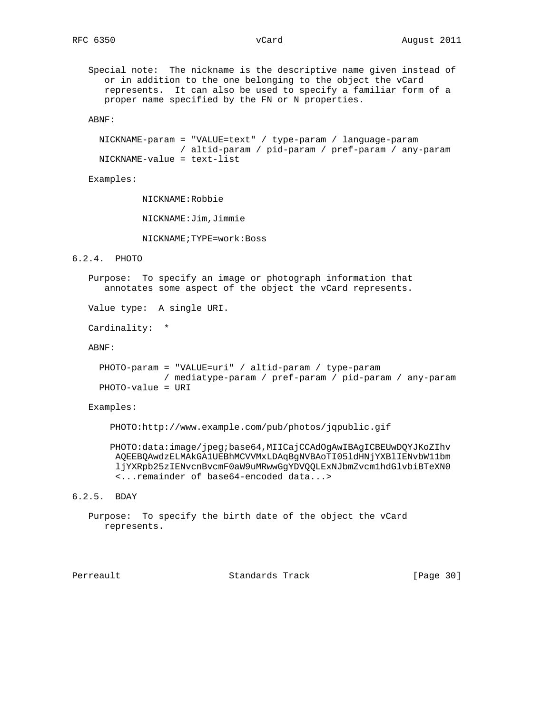Special note: The nickname is the descriptive name given instead of or in addition to the one belonging to the object the vCard represents. It can also be used to specify a familiar form of a proper name specified by the FN or N properties.

ABNF:

 NICKNAME-param = "VALUE=text" / type-param / language-param / altid-param / pid-param / pref-param / any-param NICKNAME-value = text-list

Examples:

NICKNAME:Robbie

NICKNAME:Jim,Jimmie

NICKNAME;TYPE=work:Boss

```
6.2.4. PHOTO
```
 Purpose: To specify an image or photograph information that annotates some aspect of the object the vCard represents.

Value type: A single URI.

Cardinality: \*

ABNF:

```
 PHOTO-param = "VALUE=uri" / altid-param / type-param
            / mediatype-param / pref-param / pid-param / any-param
 PHOTO-value = URI
```
Examples:

PHOTO:http://www.example.com/pub/photos/jqpublic.gif

 PHOTO:data:image/jpeg;base64,MIICajCCAdOgAwIBAgICBEUwDQYJKoZIhv AQEEBQAwdzELMAkGA1UEBhMCVVMxLDAqBgNVBAoTI05ldHNjYXBlIENvbW11bm ljYXRpb25zIENvcnBvcmF0aW9uMRwwGgYDVQQLExNJbmZvcm1hdGlvbiBTeXN0 <...remainder of base64-encoded data...>

```
6.2.5. BDAY
```
 Purpose: To specify the birth date of the object the vCard represents.

Perreault Standards Track [Page 30]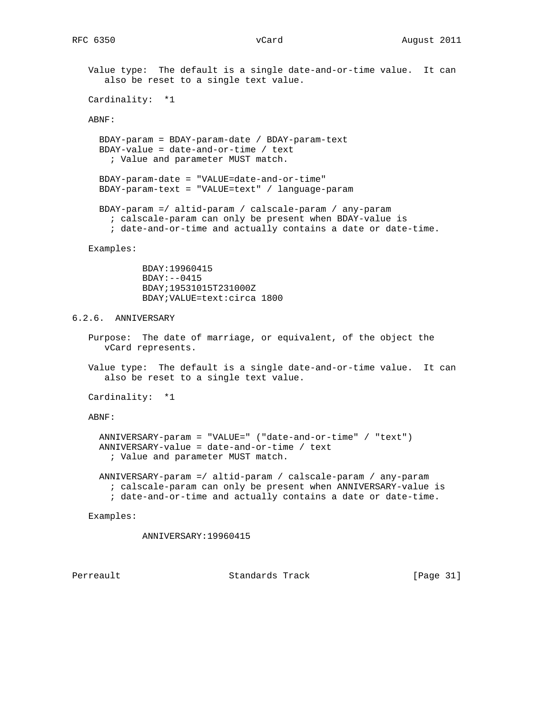Value type: The default is a single date-and-or-time value. It can also be reset to a single text value. Cardinality: \*1 ABNF: BDAY-param = BDAY-param-date / BDAY-param-text BDAY-value = date-and-or-time / text ; Value and parameter MUST match. BDAY-param-date = "VALUE=date-and-or-time" BDAY-param-text = "VALUE=text" / language-param BDAY-param =/ altid-param / calscale-param / any-param ; calscale-param can only be present when BDAY-value is ; date-and-or-time and actually contains a date or date-time. Examples: BDAY:19960415 BDAY:--0415 BDAY;19531015T231000Z BDAY;VALUE=text:circa 1800 6.2.6. ANNIVERSARY Purpose: The date of marriage, or equivalent, of the object the vCard represents. Value type: The default is a single date-and-or-time value. It can also be reset to a single text value. Cardinality: \*1 ABNF: ANNIVERSARY-param = "VALUE=" ("date-and-or-time" / "text") ANNIVERSARY-value = date-and-or-time / text ; Value and parameter MUST match. ANNIVERSARY-param =/ altid-param / calscale-param / any-param ; calscale-param can only be present when ANNIVERSARY-value is ; date-and-or-time and actually contains a date or date-time. Examples: ANNIVERSARY:19960415 Perreault Standards Track [Page 31]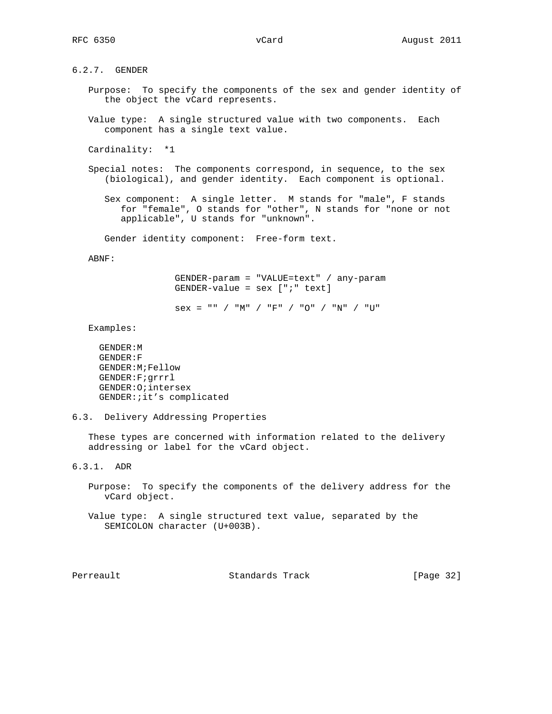6.2.7. GENDER

 Purpose: To specify the components of the sex and gender identity of the object the vCard represents.

 Value type: A single structured value with two components. Each component has a single text value.

Cardinality: \*1

 Special notes: The components correspond, in sequence, to the sex (biological), and gender identity. Each component is optional.

 Sex component: A single letter. M stands for "male", F stands for "female", O stands for "other", N stands for "none or not applicable", U stands for "unknown".

Gender identity component: Free-form text.

### ABNF:

 GENDER-param = "VALUE=text" / any-param GENDER-value = sex [";" text]

 $sex = " " / "M" / "F" / "O" / "N" / "U"$ 

Examples:

```
 GENDER:M
 GENDER:F
 GENDER:M;Fellow
 GENDER:F;grrrl
 GENDER:O;intersex
 GENDER:;it's complicated
```
6.3. Delivery Addressing Properties

 These types are concerned with information related to the delivery addressing or label for the vCard object.

6.3.1. ADR

 Purpose: To specify the components of the delivery address for the vCard object.

 Value type: A single structured text value, separated by the SEMICOLON character (U+003B).

Perreault Standards Track [Page 32]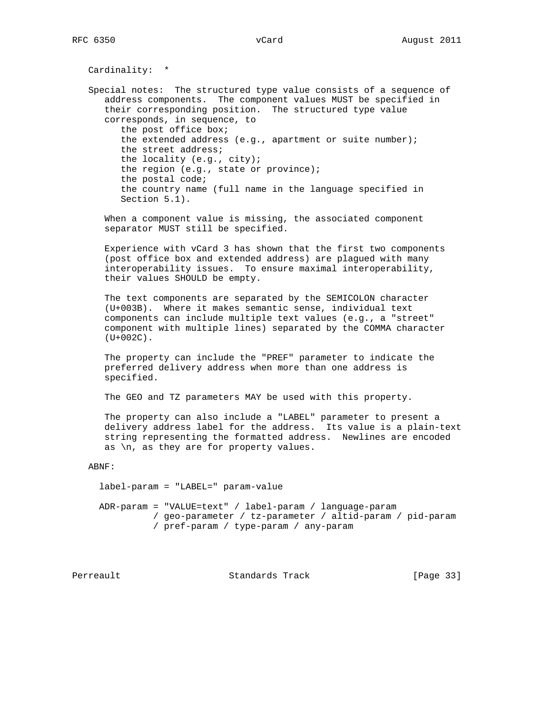Cardinality: \* Special notes: The structured type value consists of a sequence of address components. The component values MUST be specified in their corresponding position. The structured type value corresponds, in sequence, to the post office box; the extended address (e.g., apartment or suite number); the street address; the locality (e.g., city); the region (e.g., state or province); the postal code; the country name (full name in the language specified in Section 5.1). When a component value is missing, the associated component separator MUST still be specified. Experience with vCard 3 has shown that the first two components (post office box and extended address) are plagued with many interoperability issues. To ensure maximal interoperability, their values SHOULD be empty. The text components are separated by the SEMICOLON character

 (U+003B). Where it makes semantic sense, individual text components can include multiple text values (e.g., a "street" component with multiple lines) separated by the COMMA character (U+002C).

 The property can include the "PREF" parameter to indicate the preferred delivery address when more than one address is specified.

The GEO and TZ parameters MAY be used with this property.

 The property can also include a "LABEL" parameter to present a delivery address label for the address. Its value is a plain-text string representing the formatted address. Newlines are encoded as \n, as they are for property values.

ABNF:

label-param = "LABEL=" param-value

 ADR-param = "VALUE=text" / label-param / language-param / geo-parameter / tz-parameter / altid-param / pid-param / pref-param / type-param / any-param

Perreault Standards Track [Page 33]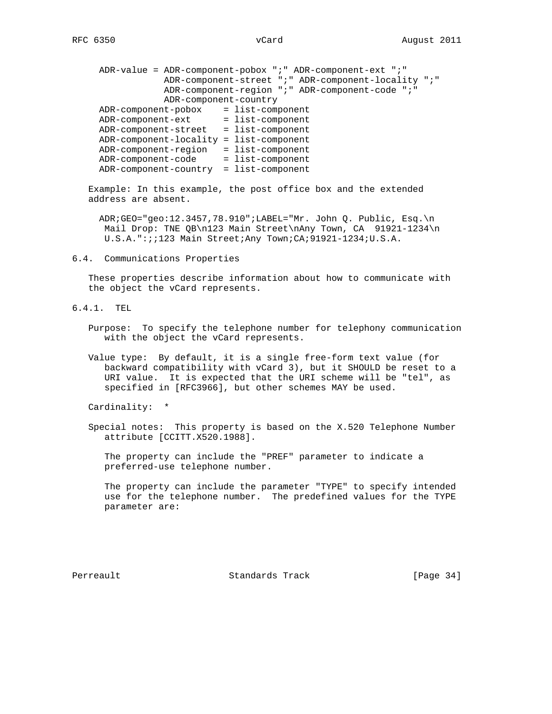|                                            | ADR-value = ADR-component-pobox "; " ADR-component-ext "; " |
|--------------------------------------------|-------------------------------------------------------------|
|                                            | ADR-component-street ";" ADR-component-locality ";"         |
|                                            | ADR-component-region "; " ADR-component-code "; "           |
| ADR-component-country                      |                                                             |
| ADR-component-pobox                        | $=$ list-component                                          |
| ADR-component-ext                          | $=$ list-component                                          |
| ADR-component-street                       | $=$ list-component                                          |
| $ADR$ -component-locality = list-component |                                                             |
| ADR-component-region                       | $=$ list-component                                          |
| ADR-component-code                         | $=$ list-component                                          |
| ADR-component-country                      | $=$ list-component                                          |

 Example: In this example, the post office box and the extended address are absent.

 ADR;GEO="geo:12.3457,78.910";LABEL="Mr. John Q. Public, Esq.\n Mail Drop: TNE QB\n123 Main Street\nAny Town, CA 91921-1234\n U.S.A.":;;123 Main Street;Any Town;CA;91921-1234;U.S.A.

6.4. Communications Properties

 These properties describe information about how to communicate with the object the vCard represents.

- 6.4.1. TEL
	- Purpose: To specify the telephone number for telephony communication with the object the vCard represents.
	- Value type: By default, it is a single free-form text value (for backward compatibility with vCard 3), but it SHOULD be reset to a URI value. It is expected that the URI scheme will be "tel", as specified in [RFC3966], but other schemes MAY be used.

Cardinality: \*

 Special notes: This property is based on the X.520 Telephone Number attribute [CCITT.X520.1988].

 The property can include the "PREF" parameter to indicate a preferred-use telephone number.

 The property can include the parameter "TYPE" to specify intended use for the telephone number. The predefined values for the TYPE parameter are:

Perreault Standards Track [Page 34]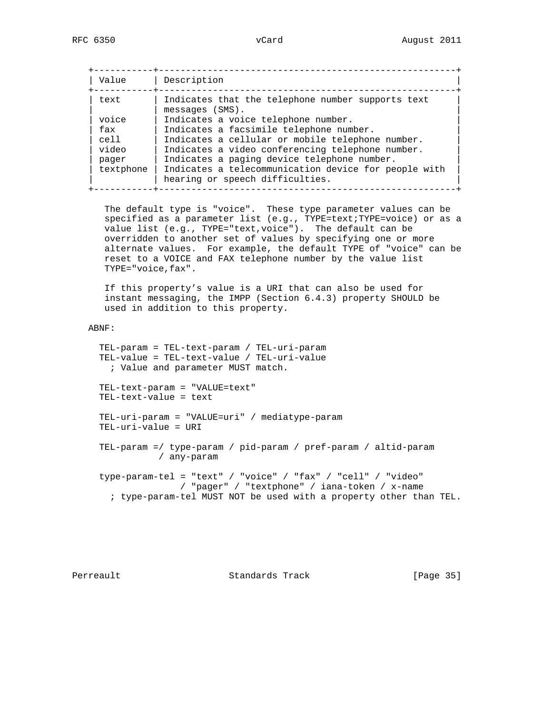| Value     | Description                                                          |
|-----------|----------------------------------------------------------------------|
| text      | Indicates that the telephone number supports text<br>messages (SMS). |
| voice     | Indicates a voice telephone number.                                  |
| fax       | Indicates a facsimile telephone number.                              |
| cell      | Indicates a cellular or mobile telephone number.                     |
| video     | Indicates a video conferencing telephone number.                     |
| pager     | Indicates a paging device telephone number.                          |
| textphone | Indicates a telecommunication device for people with                 |
|           | hearing or speech difficulties.                                      |

 The default type is "voice". These type parameter values can be specified as a parameter list (e.g., TYPE=text;TYPE=voice) or as a value list (e.g., TYPE="text,voice"). The default can be overridden to another set of values by specifying one or more alternate values. For example, the default TYPE of "voice" can be reset to a VOICE and FAX telephone number by the value list TYPE="voice,fax".

 If this property's value is a URI that can also be used for instant messaging, the IMPP (Section 6.4.3) property SHOULD be used in addition to this property.

ABNF:

 TEL-param = TEL-text-param / TEL-uri-param TEL-value = TEL-text-value / TEL-uri-value ; Value and parameter MUST match.

 TEL-text-param = "VALUE=text" TEL-text-value = text

 TEL-uri-param = "VALUE=uri" / mediatype-param TEL-uri-value = URI

 TEL-param =/ type-param / pid-param / pref-param / altid-param / any-param

 type-param-tel = "text" / "voice" / "fax" / "cell" / "video" / "pager" / "textphone" / iana-token / x-name ; type-param-tel MUST NOT be used with a property other than TEL.

Perreault Standards Track [Page 35]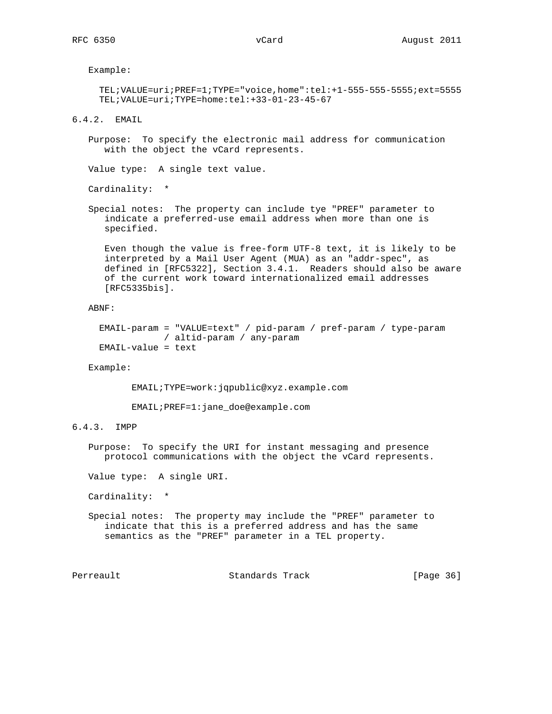Example:

 TEL;VALUE=uri;PREF=1;TYPE="voice,home":tel:+1-555-555-5555;ext=5555 TEL;VALUE=uri;TYPE=home:tel:+33-01-23-45-67

```
6.4.2. EMAIL
```
 Purpose: To specify the electronic mail address for communication with the object the vCard represents.

Value type: A single text value.

Cardinality: \*

 Special notes: The property can include tye "PREF" parameter to indicate a preferred-use email address when more than one is specified.

 Even though the value is free-form UTF-8 text, it is likely to be interpreted by a Mail User Agent (MUA) as an "addr-spec", as defined in [RFC5322], Section 3.4.1. Readers should also be aware of the current work toward internationalized email addresses [RFC5335bis].

### ABNF:

```
 EMAIL-param = "VALUE=text" / pid-param / pref-param / type-param
             / altid-param / any-param
 EMAIL-value = text
```
Example:

EMAIL;TYPE=work:jqpublic@xyz.example.com

EMAIL;PREF=1:jane\_doe@example.com

6.4.3. IMPP

 Purpose: To specify the URI for instant messaging and presence protocol communications with the object the vCard represents.

Value type: A single URI.

Cardinality: \*

 Special notes: The property may include the "PREF" parameter to indicate that this is a preferred address and has the same semantics as the "PREF" parameter in a TEL property.

Perreault Standards Track [Page 36]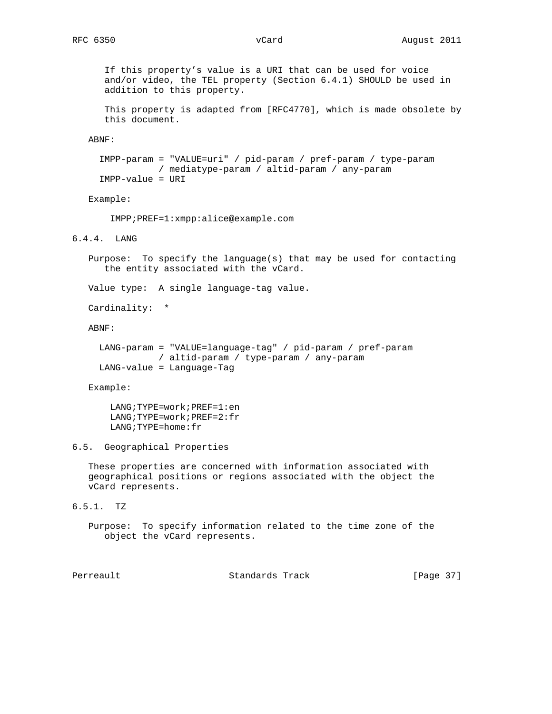If this property's value is a URI that can be used for voice and/or video, the TEL property (Section 6.4.1) SHOULD be used in addition to this property.

 This property is adapted from [RFC4770], which is made obsolete by this document.

#### ABNF:

 IMPP-param = "VALUE=uri" / pid-param / pref-param / type-param / mediatype-param / altid-param / any-param IMPP-value = URI

#### Example:

IMPP;PREF=1:xmpp:alice@example.com

## 6.4.4. LANG

Purpose: To specify the language(s) that may be used for contacting the entity associated with the vCard.

Value type: A single language-tag value.

Cardinality: \*

ABNF:

```
 LANG-param = "VALUE=language-tag" / pid-param / pref-param
          / altid-param / type-param / any-param
LANG-value = Language-Tag
```
Example:

 LANG;TYPE=work;PREF=1:en LANG;TYPE=work;PREF=2:fr LANG;TYPE=home:fr

6.5. Geographical Properties

 These properties are concerned with information associated with geographical positions or regions associated with the object the vCard represents.

6.5.1. TZ

 Purpose: To specify information related to the time zone of the object the vCard represents.

Perreault Standards Track [Page 37]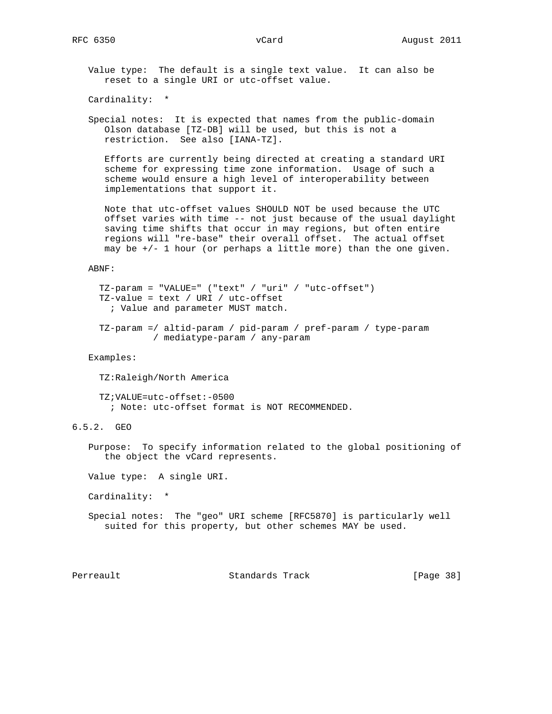Value type: The default is a single text value. It can also be reset to a single URI or utc-offset value.

Cardinality: \*

 Special notes: It is expected that names from the public-domain Olson database [TZ-DB] will be used, but this is not a restriction. See also [IANA-TZ].

 Efforts are currently being directed at creating a standard URI scheme for expressing time zone information. Usage of such a scheme would ensure a high level of interoperability between implementations that support it.

 Note that utc-offset values SHOULD NOT be used because the UTC offset varies with time -- not just because of the usual daylight saving time shifts that occur in may regions, but often entire regions will "re-base" their overall offset. The actual offset may be +/- 1 hour (or perhaps a little more) than the one given.

#### ABNF:

 TZ-param = "VALUE=" ("text" / "uri" / "utc-offset") TZ-value = text / URI / utc-offset ; Value and parameter MUST match.

 TZ-param =/ altid-param / pid-param / pref-param / type-param / mediatype-param / any-param

Examples:

TZ:Raleigh/North America

 TZ;VALUE=utc-offset:-0500 ; Note: utc-offset format is NOT RECOMMENDED.

# 6.5.2. GEO

 Purpose: To specify information related to the global positioning of the object the vCard represents.

Value type: A single URI.

Cardinality: \*

 Special notes: The "geo" URI scheme [RFC5870] is particularly well suited for this property, but other schemes MAY be used.

Perreault Standards Track [Page 38]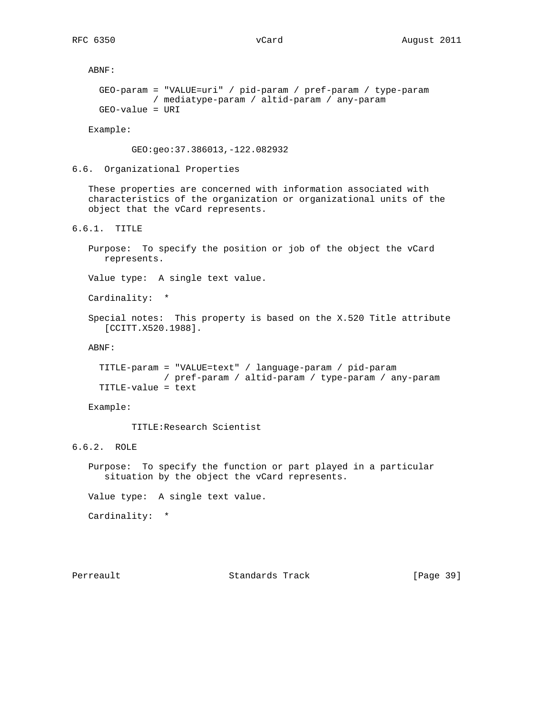ABNF:

```
 GEO-param = "VALUE=uri" / pid-param / pref-param / type-param
         / mediatype-param / altid-param / any-param
GEO-value = URI
```
Example:

GEO:geo:37.386013,-122.082932

```
6.6. Organizational Properties
```
 These properties are concerned with information associated with characteristics of the organization or organizational units of the object that the vCard represents.

6.6.1. TITLE

 Purpose: To specify the position or job of the object the vCard represents.

Value type: A single text value.

Cardinality: \*

 Special notes: This property is based on the X.520 Title attribute [CCITT.X520.1988].

ABNF:

```
 TITLE-param = "VALUE=text" / language-param / pid-param
           / pref-param / altid-param / type-param / any-param
TITLE-value = text
```
Example:

TITLE:Research Scientist

6.6.2. ROLE

 Purpose: To specify the function or part played in a particular situation by the object the vCard represents.

Value type: A single text value.

Cardinality: \*

Perreault Standards Track [Page 39]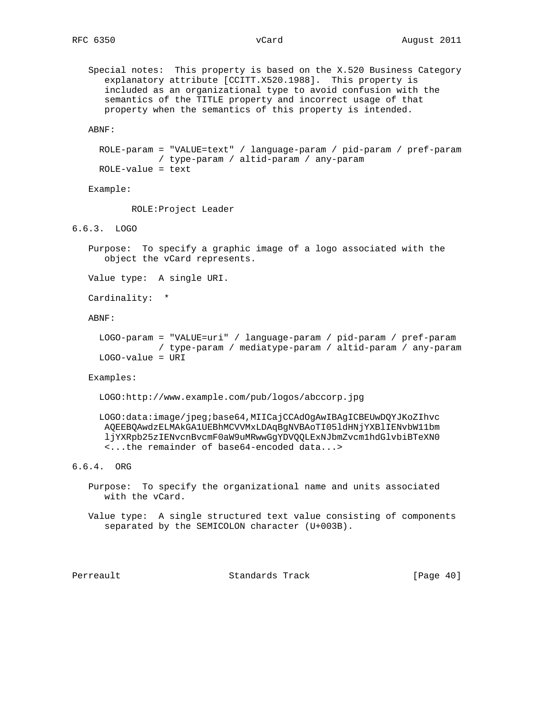Special notes: This property is based on the X.520 Business Category explanatory attribute [CCITT.X520.1988]. This property is included as an organizational type to avoid confusion with the semantics of the TITLE property and incorrect usage of that property when the semantics of this property is intended.

### ABNF:

 ROLE-param = "VALUE=text" / language-param / pid-param / pref-param / type-param / altid-param / any-param ROLE-value = text

#### Example:

ROLE:Project Leader

6.6.3. LOGO

 Purpose: To specify a graphic image of a logo associated with the object the vCard represents.

Value type: A single URI.

Cardinality: \*

ABNF:

```
 LOGO-param = "VALUE=uri" / language-param / pid-param / pref-param
      / type-param / mediatype-param / altid-param / any-param
LOGO-value = URI
```
Examples:

LOGO:http://www.example.com/pub/logos/abccorp.jpg

 LOGO:data:image/jpeg;base64,MIICajCCAdOgAwIBAgICBEUwDQYJKoZIhvc AQEEBQAwdzELMAkGA1UEBhMCVVMxLDAqBgNVBAoTI05ldHNjYXBlIENvbW11bm ljYXRpb25zIENvcnBvcmF0aW9uMRwwGgYDVQQLExNJbmZvcm1hdGlvbiBTeXN0 <...the remainder of base64-encoded data...>

6.6.4. ORG

- Purpose: To specify the organizational name and units associated with the vCard.
- Value type: A single structured text value consisting of components separated by the SEMICOLON character (U+003B).

Perreault Standards Track [Page 40]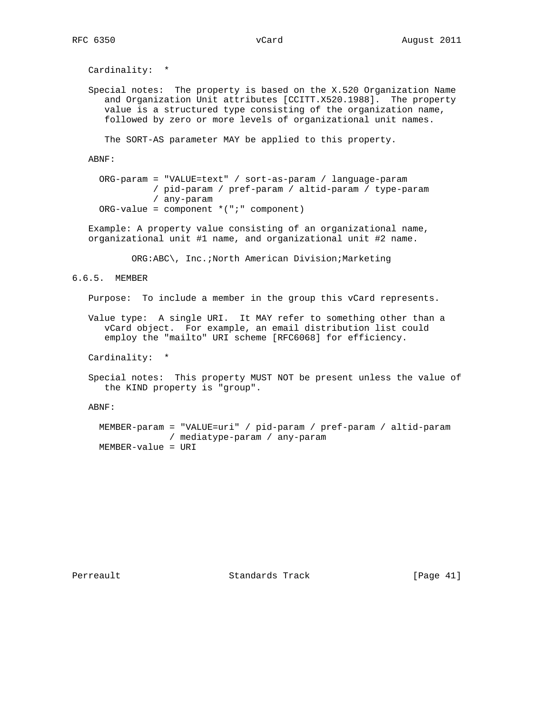Cardinality: \* Special notes: The property is based on the X.520 Organization Name and Organization Unit attributes [CCITT.X520.1988]. The property value is a structured type consisting of the organization name, followed by zero or more levels of organizational unit names. The SORT-AS parameter MAY be applied to this property. ABNF: ORG-param = "VALUE=text" / sort-as-param / language-param / pid-param / pref-param / altid-param / type-param / any-param ORG-value = component \*(";" component) Example: A property value consisting of an organizational name, organizational unit #1 name, and organizational unit #2 name. ORG:ABC\, Inc.;North American Division;Marketing 6.6.5. MEMBER Purpose: To include a member in the group this vCard represents. Value type: A single URI. It MAY refer to something other than a vCard object. For example, an email distribution list could employ the "mailto" URI scheme [RFC6068] for efficiency. Cardinality: \*

 Special notes: This property MUST NOT be present unless the value of the KIND property is "group".

ABNF:

 MEMBER-param = "VALUE=uri" / pid-param / pref-param / altid-param / mediatype-param / any-param MEMBER-value = URI

Perreault Standards Track [Page 41]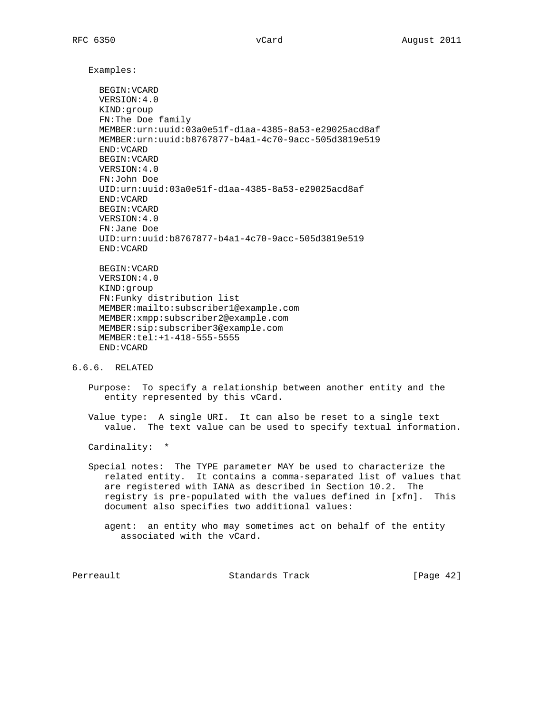Examples:

```
 BEGIN:VCARD
VERSION:4.0
KIND:group
FN:The Doe family
MEMBER:urn:uuid:03a0e51f-d1aa-4385-8a53-e29025acd8af
MEMBER:urn:uuid:b8767877-b4a1-4c70-9acc-505d3819e519
END:VCARD
BEGIN:VCARD
VERSION:4.0
FN:John Doe
UID:urn:uuid:03a0e51f-d1aa-4385-8a53-e29025acd8af
END:VCARD
BEGIN:VCARD
VERSION:4.0
FN:Jane Doe
UID:urn:uuid:b8767877-b4a1-4c70-9acc-505d3819e519
END:VCARD
BEGIN:VCARD
VERSION:4.0
```
 KIND:group FN:Funky distribution list MEMBER:mailto:subscriber1@example.com MEMBER:xmpp:subscriber2@example.com MEMBER:sip:subscriber3@example.com MEMBER:tel:+1-418-555-5555 END:VCARD

# 6.6.6. RELATED

 Purpose: To specify a relationship between another entity and the entity represented by this vCard.

 Value type: A single URI. It can also be reset to a single text value. The text value can be used to specify textual information.

Cardinality: \*

- Special notes: The TYPE parameter MAY be used to characterize the related entity. It contains a comma-separated list of values that are registered with IANA as described in Section 10.2. The registry is pre-populated with the values defined in [xfn]. This document also specifies two additional values:
	- agent: an entity who may sometimes act on behalf of the entity associated with the vCard.

Perreault Standards Track [Page 42]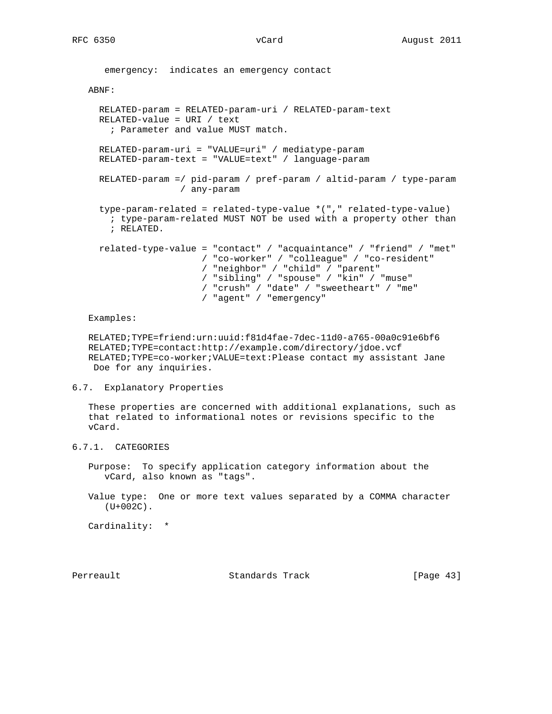emergency: indicates an emergency contact ABNF: RELATED-param = RELATED-param-uri / RELATED-param-text RELATED-value = URI / text ; Parameter and value MUST match. RELATED-param-uri = "VALUE=uri" / mediatype-param RELATED-param-text = "VALUE=text" / language-param RELATED-param =/ pid-param / pref-param / altid-param / type-param / any-param type-param-related = related-type-value \*("," related-type-value) ; type-param-related MUST NOT be used with a property other than ; RELATED. related-type-value = "contact" / "acquaintance" / "friend" / "met" / "co-worker" / "colleague" / "co-resident" / "neighbor" / "child" / "parent" / "sibling" / "spouse" / "kin" / "muse" / "crush" / "date" / "sweetheart" / "me" / "agent" / "emergency"

Examples:

 RELATED;TYPE=friend:urn:uuid:f81d4fae-7dec-11d0-a765-00a0c91e6bf6 RELATED;TYPE=contact:http://example.com/directory/jdoe.vcf RELATED;TYPE=co-worker;VALUE=text:Please contact my assistant Jane Doe for any inquiries.

6.7. Explanatory Properties

 These properties are concerned with additional explanations, such as that related to informational notes or revisions specific to the vCard.

6.7.1. CATEGORIES

 Purpose: To specify application category information about the vCard, also known as "tags".

 Value type: One or more text values separated by a COMMA character (U+002C).

Cardinality: \*

Perreault Standards Track [Page 43]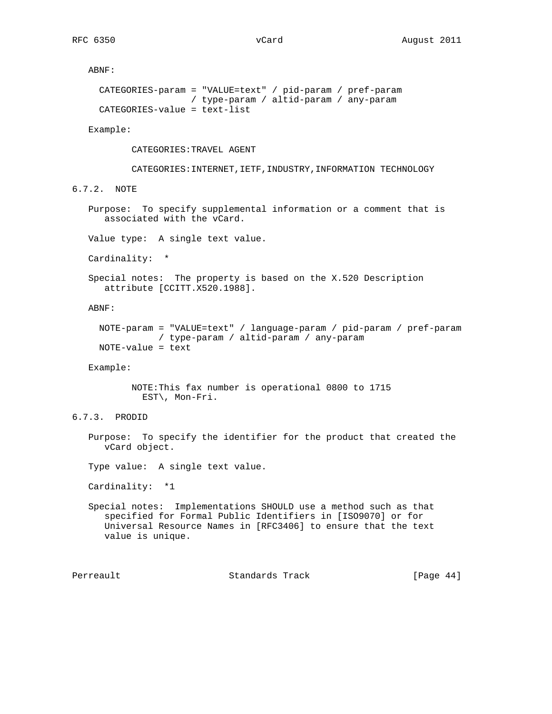ABNF:

```
 CATEGORIES-param = "VALUE=text" / pid-param / pref-param
             / type-param / altid-param / any-param
CATEGORIES-value = text-list
```
Example:

CATEGORIES:TRAVEL AGENT

CATEGORIES:INTERNET,IETF,INDUSTRY,INFORMATION TECHNOLOGY

6.7.2. NOTE

 Purpose: To specify supplemental information or a comment that is associated with the vCard.

Value type: A single text value.

Cardinality: \*

 Special notes: The property is based on the X.520 Description attribute [CCITT.X520.1988].

ABNF:

```
 NOTE-param = "VALUE=text" / language-param / pid-param / pref-param
           / type-param / altid-param / any-param
NOTE-value = text
```
Example:

 NOTE:This fax number is operational 0800 to 1715 EST\, Mon-Fri.

6.7.3. PRODID

 Purpose: To specify the identifier for the product that created the vCard object.

Type value: A single text value.

Cardinality: \*1

 Special notes: Implementations SHOULD use a method such as that specified for Formal Public Identifiers in [ISO9070] or for Universal Resource Names in [RFC3406] to ensure that the text value is unique.

Perreault Standards Track [Page 44]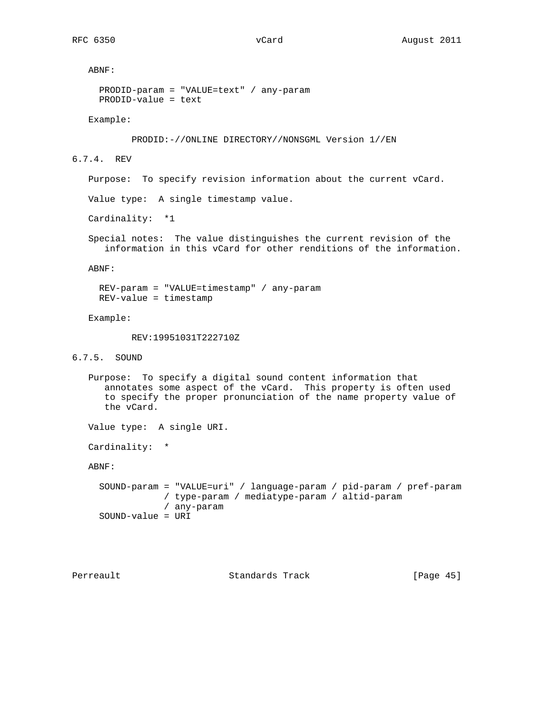```
 ABNF:
```

```
 PRODID-param = "VALUE=text" / any-param
PRODID-value = text
```
Example:

```
 PRODID:-//ONLINE DIRECTORY//NONSGML Version 1//EN
```

```
6.7.4. REV
```
Purpose: To specify revision information about the current vCard.

Value type: A single timestamp value.

Cardinality: \*1

 Special notes: The value distinguishes the current revision of the information in this vCard for other renditions of the information.

ABNF:

```
 REV-param = "VALUE=timestamp" / any-param
REV-value = timestamp
```
Example:

```
 REV:19951031T222710Z
```

```
6.7.5. SOUND
```
 Purpose: To specify a digital sound content information that annotates some aspect of the vCard. This property is often used to specify the proper pronunciation of the name property value of the vCard.

Value type: A single URI.

Cardinality: \*

ABNF:

```
 SOUND-param = "VALUE=uri" / language-param / pid-param / pref-param
            / type-param / mediatype-param / altid-param
            / any-param
SOUND-value = URI
```
Perreault Standards Track [Page 45]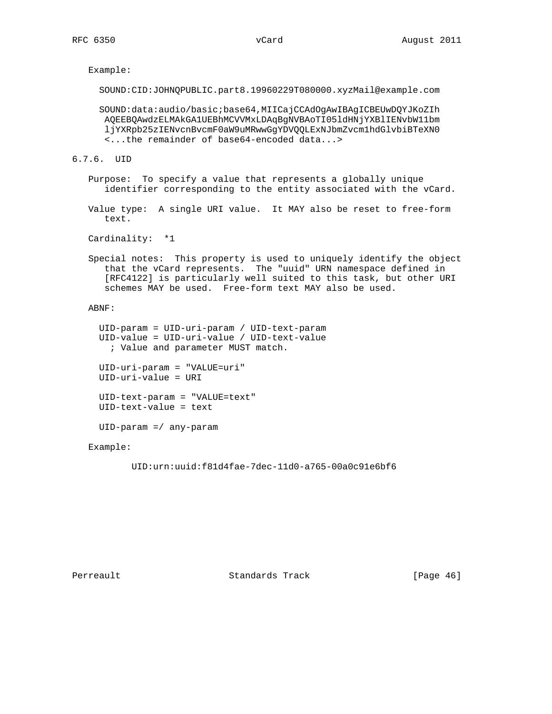#### Example:

SOUND:CID:JOHNQPUBLIC.part8.19960229T080000.xyzMail@example.com

 SOUND:data:audio/basic;base64,MIICajCCAdOgAwIBAgICBEUwDQYJKoZIh AQEEBQAwdzELMAkGA1UEBhMCVVMxLDAqBgNVBAoTI05ldHNjYXBlIENvbW11bm ljYXRpb25zIENvcnBvcmF0aW9uMRwwGgYDVQQLExNJbmZvcm1hdGlvbiBTeXN0 <...the remainder of base64-encoded data...>

6.7.6. UID

 Purpose: To specify a value that represents a globally unique identifier corresponding to the entity associated with the vCard.

 Value type: A single URI value. It MAY also be reset to free-form text.

Cardinality: \*1

 Special notes: This property is used to uniquely identify the object that the vCard represents. The "uuid" URN namespace defined in [RFC4122] is particularly well suited to this task, but other URI schemes MAY be used. Free-form text MAY also be used.

ABNF:

 UID-param = UID-uri-param / UID-text-param UID-value = UID-uri-value / UID-text-value ; Value and parameter MUST match. UID-uri-param = "VALUE=uri" UID-uri-value = URI UID-text-param = "VALUE=text" UID-text-value = text

UID-param =/ any-param

Example:

UID:urn:uuid:f81d4fae-7dec-11d0-a765-00a0c91e6bf6

Perreault Standards Track [Page 46]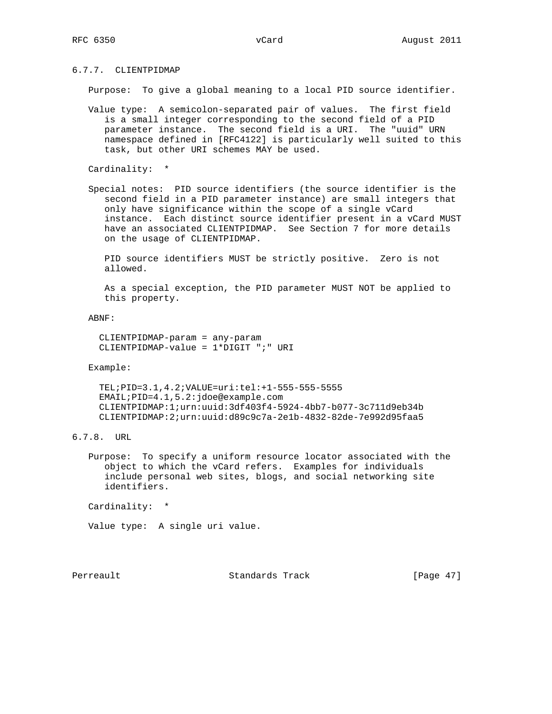## 6.7.7. CLIENTPIDMAP

Purpose: To give a global meaning to a local PID source identifier.

 Value type: A semicolon-separated pair of values. The first field is a small integer corresponding to the second field of a PID parameter instance. The second field is a URI. The "uuid" URN namespace defined in [RFC4122] is particularly well suited to this task, but other URI schemes MAY be used.

Cardinality: \*

 Special notes: PID source identifiers (the source identifier is the second field in a PID parameter instance) are small integers that only have significance within the scope of a single vCard instance. Each distinct source identifier present in a vCard MUST have an associated CLIENTPIDMAP. See Section 7 for more details on the usage of CLIENTPIDMAP.

 PID source identifiers MUST be strictly positive. Zero is not allowed.

 As a special exception, the PID parameter MUST NOT be applied to this property.

ABNF:

 CLIENTPIDMAP-param = any-param CLIENTPIDMAP-value = 1\*DIGIT ";" URI

Example:

 TEL;PID=3.1,4.2;VALUE=uri:tel:+1-555-555-5555 EMAIL;PID=4.1,5.2:jdoe@example.com CLIENTPIDMAP:1;urn:uuid:3df403f4-5924-4bb7-b077-3c711d9eb34b CLIENTPIDMAP:2;urn:uuid:d89c9c7a-2e1b-4832-82de-7e992d95faa5

6.7.8. URL

 Purpose: To specify a uniform resource locator associated with the object to which the vCard refers. Examples for individuals include personal web sites, blogs, and social networking site identifiers.

Cardinality: \*

Value type: A single uri value.

Perreault Standards Track [Page 47]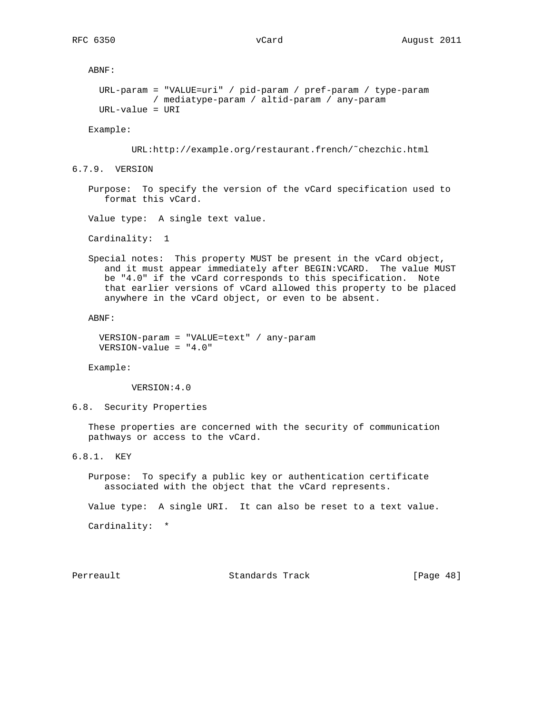```
 ABNF:
```

```
 URL-param = "VALUE=uri" / pid-param / pref-param / type-param
        / mediatype-param / altid-param / any-param
URL-value = URI
```
Example:

URL:http://example.org/restaurant.french/˜chezchic.html

- 6.7.9. VERSION
	- Purpose: To specify the version of the vCard specification used to format this vCard.

Value type: A single text value.

Cardinality: 1

 Special notes: This property MUST be present in the vCard object, and it must appear immediately after BEGIN:VCARD. The value MUST be "4.0" if the vCard corresponds to this specification. Note that earlier versions of vCard allowed this property to be placed anywhere in the vCard object, or even to be absent.

ABNF:

```
 VERSION-param = "VALUE=text" / any-param
VERSION-value = "4.0"
```
Example:

VERSION:4.0

6.8. Security Properties

 These properties are concerned with the security of communication pathways or access to the vCard.

6.8.1. KEY

 Purpose: To specify a public key or authentication certificate associated with the object that the vCard represents.

Value type: A single URI. It can also be reset to a text value.

Cardinality: \*

Perreault Standards Track [Page 48]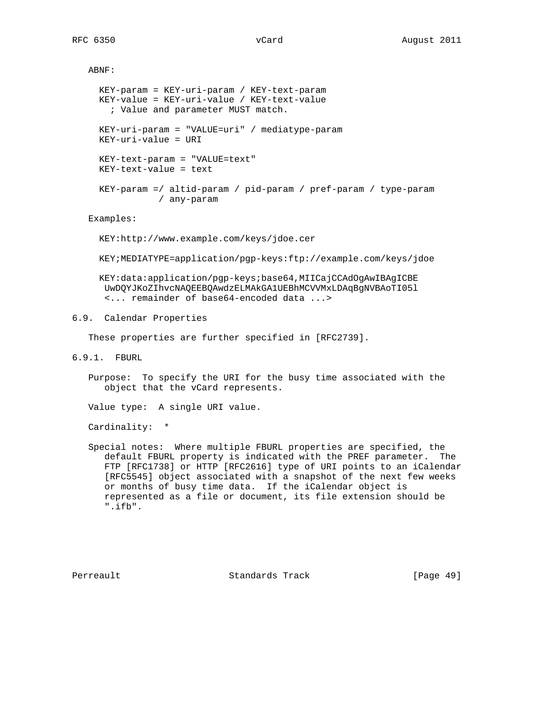ABNF:

 KEY-param = KEY-uri-param / KEY-text-param KEY-value = KEY-uri-value / KEY-text-value ; Value and parameter MUST match. KEY-uri-param = "VALUE=uri" / mediatype-param KEY-uri-value = URI KEY-text-param = "VALUE=text" KEY-text-value = text KEY-param =/ altid-param / pid-param / pref-param / type-param / any-param

Examples:

KEY:http://www.example.com/keys/jdoe.cer

KEY;MEDIATYPE=application/pgp-keys:ftp://example.com/keys/jdoe

 KEY:data:application/pgp-keys;base64,MIICajCCAdOgAwIBAgICBE UwDQYJKoZIhvcNAQEEBQAwdzELMAkGA1UEBhMCVVMxLDAqBgNVBAoTI05l <... remainder of base64-encoded data ...>

6.9. Calendar Properties

These properties are further specified in [RFC2739].

- 6.9.1. FBURL
	- Purpose: To specify the URI for the busy time associated with the object that the vCard represents.

Value type: A single URI value.

Cardinality: \*

 Special notes: Where multiple FBURL properties are specified, the default FBURL property is indicated with the PREF parameter. The FTP [RFC1738] or HTTP [RFC2616] type of URI points to an iCalendar [RFC5545] object associated with a snapshot of the next few weeks or months of busy time data. If the iCalendar object is represented as a file or document, its file extension should be ".ifb".

Perreault Standards Track [Page 49]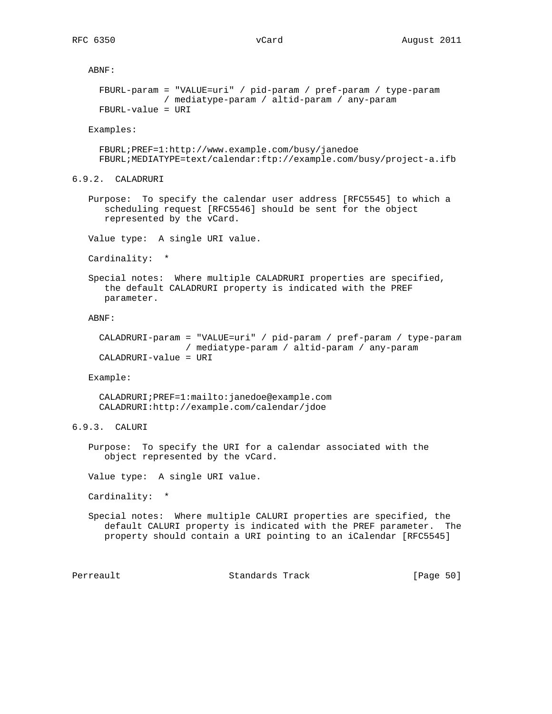ABNF:

```
 FBURL-param = "VALUE=uri" / pid-param / pref-param / type-param
           / mediatype-param / altid-param / any-param
FBURL-value = URI
```
Examples:

 FBURL;PREF=1:http://www.example.com/busy/janedoe FBURL;MEDIATYPE=text/calendar:ftp://example.com/busy/project-a.ifb

6.9.2. CALADRURI

 Purpose: To specify the calendar user address [RFC5545] to which a scheduling request [RFC5546] should be sent for the object represented by the vCard.

Value type: A single URI value.

Cardinality: \*

 Special notes: Where multiple CALADRURI properties are specified, the default CALADRURI property is indicated with the PREF parameter.

ABNF:

```
 CALADRURI-param = "VALUE=uri" / pid-param / pref-param / type-param
               / mediatype-param / altid-param / any-param
CALADRURI-value = URI
```
Example:

 CALADRURI;PREF=1:mailto:janedoe@example.com CALADRURI:http://example.com/calendar/jdoe

6.9.3. CALURI

 Purpose: To specify the URI for a calendar associated with the object represented by the vCard.

Value type: A single URI value.

Cardinality: \*

 Special notes: Where multiple CALURI properties are specified, the default CALURI property is indicated with the PREF parameter. The property should contain a URI pointing to an iCalendar [RFC5545]

Perreault Standards Track [Page 50]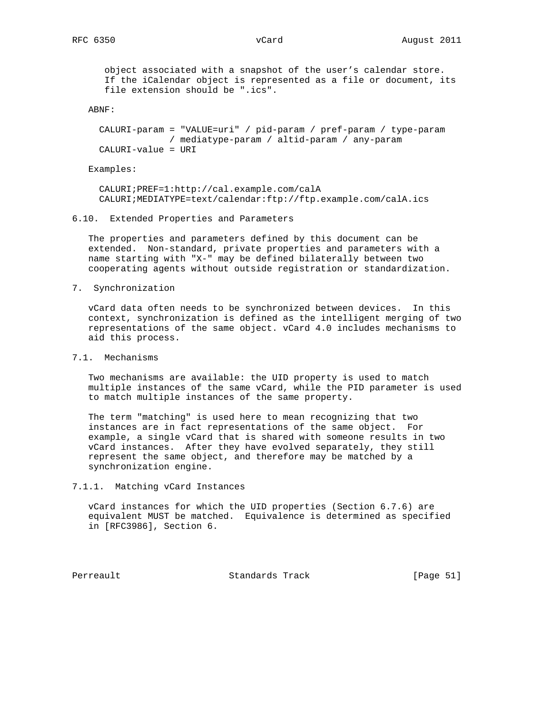object associated with a snapshot of the user's calendar store. If the iCalendar object is represented as a file or document, its file extension should be ".ics".

#### ABNF:

 CALURI-param = "VALUE=uri" / pid-param / pref-param / type-param / mediatype-param / altid-param / any-param CALURI-value = URI

#### Examples:

 CALURI;PREF=1:http://cal.example.com/calA CALURI;MEDIATYPE=text/calendar:ftp://ftp.example.com/calA.ics

### 6.10. Extended Properties and Parameters

 The properties and parameters defined by this document can be extended. Non-standard, private properties and parameters with a name starting with "X-" may be defined bilaterally between two cooperating agents without outside registration or standardization.

7. Synchronization

 vCard data often needs to be synchronized between devices. In this context, synchronization is defined as the intelligent merging of two representations of the same object. vCard 4.0 includes mechanisms to aid this process.

7.1. Mechanisms

 Two mechanisms are available: the UID property is used to match multiple instances of the same vCard, while the PID parameter is used to match multiple instances of the same property.

 The term "matching" is used here to mean recognizing that two instances are in fact representations of the same object. For example, a single vCard that is shared with someone results in two vCard instances. After they have evolved separately, they still represent the same object, and therefore may be matched by a synchronization engine.

7.1.1. Matching vCard Instances

 vCard instances for which the UID properties (Section 6.7.6) are equivalent MUST be matched. Equivalence is determined as specified in [RFC3986], Section 6.

Perreault Standards Track [Page 51]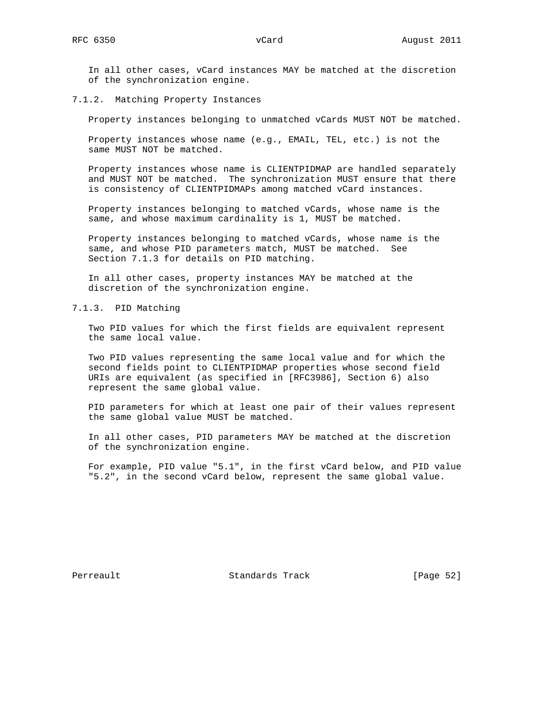In all other cases, vCard instances MAY be matched at the discretion of the synchronization engine.

### 7.1.2. Matching Property Instances

Property instances belonging to unmatched vCards MUST NOT be matched.

 Property instances whose name (e.g., EMAIL, TEL, etc.) is not the same MUST NOT be matched.

 Property instances whose name is CLIENTPIDMAP are handled separately and MUST NOT be matched. The synchronization MUST ensure that there is consistency of CLIENTPIDMAPs among matched vCard instances.

 Property instances belonging to matched vCards, whose name is the same, and whose maximum cardinality is 1, MUST be matched.

 Property instances belonging to matched vCards, whose name is the same, and whose PID parameters match, MUST be matched. See Section 7.1.3 for details on PID matching.

 In all other cases, property instances MAY be matched at the discretion of the synchronization engine.

7.1.3. PID Matching

 Two PID values for which the first fields are equivalent represent the same local value.

 Two PID values representing the same local value and for which the second fields point to CLIENTPIDMAP properties whose second field URIs are equivalent (as specified in [RFC3986], Section 6) also represent the same global value.

 PID parameters for which at least one pair of their values represent the same global value MUST be matched.

 In all other cases, PID parameters MAY be matched at the discretion of the synchronization engine.

 For example, PID value "5.1", in the first vCard below, and PID value "5.2", in the second vCard below, represent the same global value.

Perreault Standards Track [Page 52]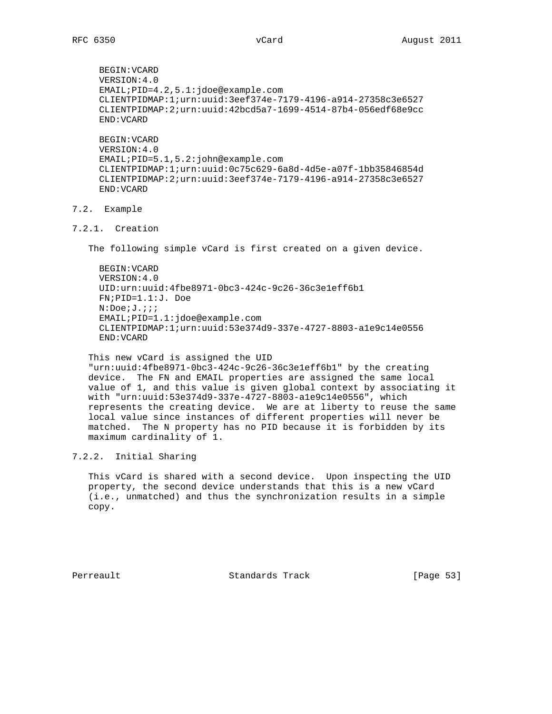BEGIN:VCARD VERSION:4.0 EMAIL;PID=4.2,5.1:jdoe@example.com CLIENTPIDMAP:1;urn:uuid:3eef374e-7179-4196-a914-27358c3e6527 CLIENTPIDMAP:2;urn:uuid:42bcd5a7-1699-4514-87b4-056edf68e9cc END:VCARD

 BEGIN:VCARD VERSION:4.0 EMAIL;PID=5.1,5.2:john@example.com CLIENTPIDMAP:1;urn:uuid:0c75c629-6a8d-4d5e-a07f-1bb35846854d CLIENTPIDMAP:2;urn:uuid:3eef374e-7179-4196-a914-27358c3e6527 END:VCARD

- 7.2. Example
- 7.2.1. Creation

The following simple vCard is first created on a given device.

```
 BEGIN:VCARD
VERSION:4.0
UID:urn:uuid:4fbe8971-0bc3-424c-9c26-36c3e1eff6b1
FN;PID=1.1:J. Doe
N:Doe;J.;;;
EMAIL;PID=1.1:jdoe@example.com
CLIENTPIDMAP:1;urn:uuid:53e374d9-337e-4727-8803-a1e9c14e0556
END:VCARD
```
 This new vCard is assigned the UID "urn:uuid:4fbe8971-0bc3-424c-9c26-36c3e1eff6b1" by the creating device. The FN and EMAIL properties are assigned the same local value of 1, and this value is given global context by associating it with "urn:uuid:53e374d9-337e-4727-8803-a1e9c14e0556", which represents the creating device. We are at liberty to reuse the same local value since instances of different properties will never be matched. The N property has no PID because it is forbidden by its maximum cardinality of 1.

### 7.2.2. Initial Sharing

 This vCard is shared with a second device. Upon inspecting the UID property, the second device understands that this is a new vCard (i.e., unmatched) and thus the synchronization results in a simple copy.

Perreault Standards Track [Page 53]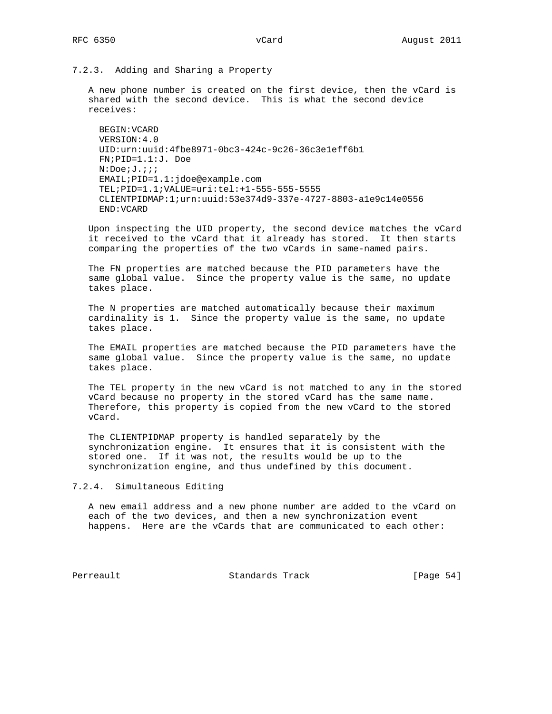7.2.3. Adding and Sharing a Property

 A new phone number is created on the first device, then the vCard is shared with the second device. This is what the second device receives:

 BEGIN:VCARD VERSION:4.0 UID:urn:uuid:4fbe8971-0bc3-424c-9c26-36c3e1eff6b1 FN;PID=1.1:J. Doe N:Doe;J.;;; EMAIL;PID=1.1:jdoe@example.com TEL;PID=1.1;VALUE=uri:tel:+1-555-555-5555 CLIENTPIDMAP:1;urn:uuid:53e374d9-337e-4727-8803-a1e9c14e0556 END:VCARD

 Upon inspecting the UID property, the second device matches the vCard it received to the vCard that it already has stored. It then starts comparing the properties of the two vCards in same-named pairs.

 The FN properties are matched because the PID parameters have the same global value. Since the property value is the same, no update takes place.

 The N properties are matched automatically because their maximum cardinality is 1. Since the property value is the same, no update takes place.

 The EMAIL properties are matched because the PID parameters have the same global value. Since the property value is the same, no update takes place.

 The TEL property in the new vCard is not matched to any in the stored vCard because no property in the stored vCard has the same name. Therefore, this property is copied from the new vCard to the stored vCard.

 The CLIENTPIDMAP property is handled separately by the synchronization engine. It ensures that it is consistent with the stored one. If it was not, the results would be up to the synchronization engine, and thus undefined by this document.

#### 7.2.4. Simultaneous Editing

 A new email address and a new phone number are added to the vCard on each of the two devices, and then a new synchronization event happens. Here are the vCards that are communicated to each other:

Perreault Standards Track [Page 54]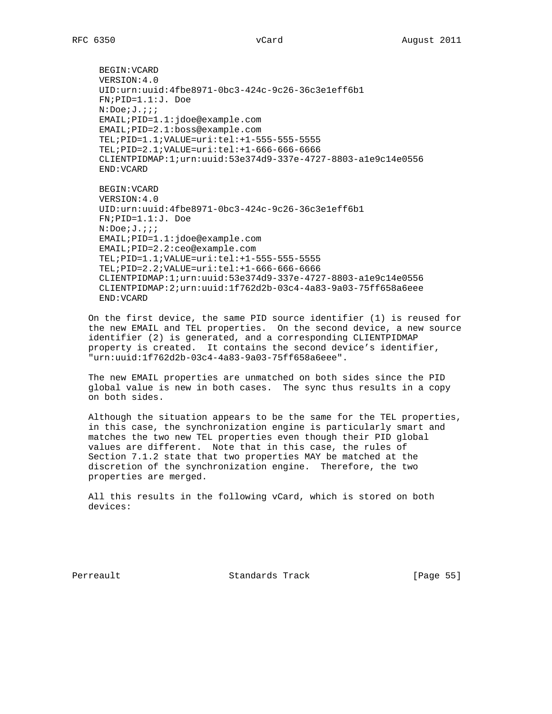BEGIN:VCARD VERSION:4.0 UID:urn:uuid:4fbe8971-0bc3-424c-9c26-36c3e1eff6b1 FN;PID=1.1:J. Doe N:Doe;J.;;; EMAIL;PID=1.1:jdoe@example.com EMAIL;PID=2.1:boss@example.com TEL;PID=1.1;VALUE=uri:tel:+1-555-555-5555 TEL;PID=2.1;VALUE=uri:tel:+1-666-666-6666 CLIENTPIDMAP:1;urn:uuid:53e374d9-337e-4727-8803-a1e9c14e0556 END:VCARD

 BEGIN:VCARD VERSION:4.0 UID:urn:uuid:4fbe8971-0bc3-424c-9c26-36c3e1eff6b1 FN;PID=1.1:J. Doe N:Doe;J.;;; EMAIL;PID=1.1:jdoe@example.com EMAIL;PID=2.2:ceo@example.com TEL;PID=1.1;VALUE=uri:tel:+1-555-555-5555 TEL;PID=2.2;VALUE=uri:tel:+1-666-666-6666 CLIENTPIDMAP:1;urn:uuid:53e374d9-337e-4727-8803-a1e9c14e0556 CLIENTPIDMAP:2;urn:uuid:1f762d2b-03c4-4a83-9a03-75ff658a6eee END:VCARD

 On the first device, the same PID source identifier (1) is reused for the new EMAIL and TEL properties. On the second device, a new source identifier (2) is generated, and a corresponding CLIENTPIDMAP property is created. It contains the second device's identifier, "urn:uuid:1f762d2b-03c4-4a83-9a03-75ff658a6eee".

 The new EMAIL properties are unmatched on both sides since the PID global value is new in both cases. The sync thus results in a copy on both sides.

 Although the situation appears to be the same for the TEL properties, in this case, the synchronization engine is particularly smart and matches the two new TEL properties even though their PID global values are different. Note that in this case, the rules of Section 7.1.2 state that two properties MAY be matched at the discretion of the synchronization engine. Therefore, the two properties are merged.

 All this results in the following vCard, which is stored on both devices:

Perreault Standards Track [Page 55]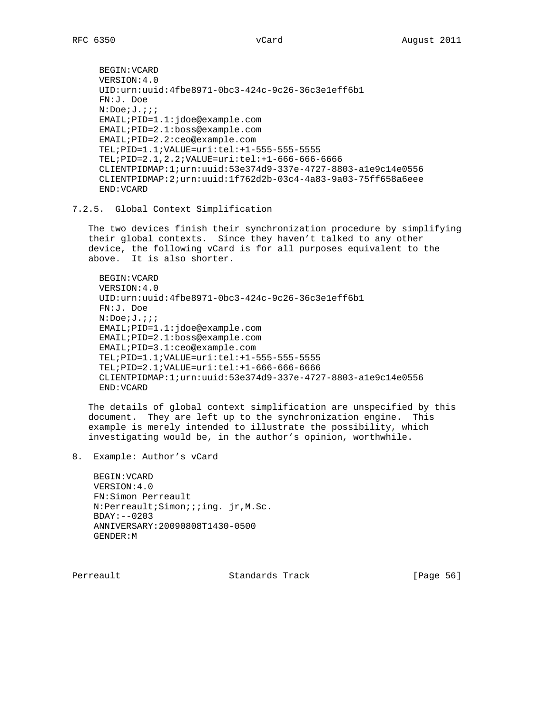BEGIN:VCARD VERSION:4.0 UID:urn:uuid:4fbe8971-0bc3-424c-9c26-36c3e1eff6b1 FN:J. Doe N:Doe;J.;;; EMAIL;PID=1.1:jdoe@example.com EMAIL;PID=2.1:boss@example.com EMAIL;PID=2.2:ceo@example.com TEL;PID=1.1;VALUE=uri:tel:+1-555-555-5555 TEL;PID=2.1,2.2;VALUE=uri:tel:+1-666-666-6666 CLIENTPIDMAP:1;urn:uuid:53e374d9-337e-4727-8803-a1e9c14e0556 CLIENTPIDMAP:2;urn:uuid:1f762d2b-03c4-4a83-9a03-75ff658a6eee END:VCARD

7.2.5. Global Context Simplification

 The two devices finish their synchronization procedure by simplifying their global contexts. Since they haven't talked to any other device, the following vCard is for all purposes equivalent to the above. It is also shorter.

 BEGIN:VCARD VERSION:4.0 UID:urn:uuid:4fbe8971-0bc3-424c-9c26-36c3e1eff6b1 FN:J. Doe N:Doe;J.;;; EMAIL;PID=1.1:jdoe@example.com EMAIL;PID=2.1:boss@example.com EMAIL;PID=3.1:ceo@example.com TEL;PID=1.1;VALUE=uri:tel:+1-555-555-5555 TEL;PID=2.1;VALUE=uri:tel:+1-666-666-6666 CLIENTPIDMAP:1;urn:uuid:53e374d9-337e-4727-8803-a1e9c14e0556 END:VCARD

 The details of global context simplification are unspecified by this document. They are left up to the synchronization engine. This example is merely intended to illustrate the possibility, which investigating would be, in the author's opinion, worthwhile.

8. Example: Author's vCard

 BEGIN:VCARD VERSION:4.0 FN:Simon Perreault N:Perreault;Simon;;;ing. jr,M.Sc. BDAY:--0203 ANNIVERSARY:20090808T1430-0500 GENDER:M

Perreault Standards Track [Page 56]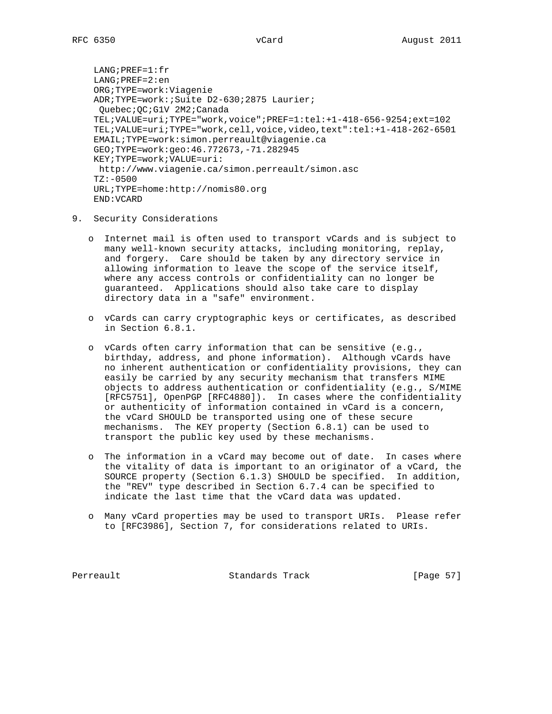$LMG$ ;  $PREF = 1:fr$  LANG;PREF=2:en ORG;TYPE=work:Viagenie ADR;TYPE=work:;Suite D2-630;2875 Laurier; Quebec;QC;G1V 2M2;Canada TEL;VALUE=uri;TYPE="work,voice";PREF=1:tel:+1-418-656-9254;ext=102 TEL;VALUE=uri;TYPE="work,cell,voice,video,text":tel:+1-418-262-6501 EMAIL;TYPE=work:simon.perreault@viagenie.ca GEO;TYPE=work:geo:46.772673,-71.282945 KEY;TYPE=work;VALUE=uri: http://www.viagenie.ca/simon.perreault/simon.asc TZ:-0500 URL;TYPE=home:http://nomis80.org END:VCARD

- 9. Security Considerations
	- o Internet mail is often used to transport vCards and is subject to many well-known security attacks, including monitoring, replay, and forgery. Care should be taken by any directory service in allowing information to leave the scope of the service itself, where any access controls or confidentiality can no longer be guaranteed. Applications should also take care to display directory data in a "safe" environment.
	- o vCards can carry cryptographic keys or certificates, as described in Section 6.8.1.
	- o vCards often carry information that can be sensitive (e.g., birthday, address, and phone information). Although vCards have no inherent authentication or confidentiality provisions, they can easily be carried by any security mechanism that transfers MIME objects to address authentication or confidentiality (e.g., S/MIME [RFC5751], OpenPGP [RFC4880]). In cases where the confidentiality or authenticity of information contained in vCard is a concern, the vCard SHOULD be transported using one of these secure mechanisms. The KEY property (Section 6.8.1) can be used to transport the public key used by these mechanisms.
	- o The information in a vCard may become out of date. In cases where the vitality of data is important to an originator of a vCard, the SOURCE property (Section 6.1.3) SHOULD be specified. In addition, the "REV" type described in Section 6.7.4 can be specified to indicate the last time that the vCard data was updated.
	- o Many vCard properties may be used to transport URIs. Please refer to [RFC3986], Section 7, for considerations related to URIs.

Perreault Standards Track [Page 57]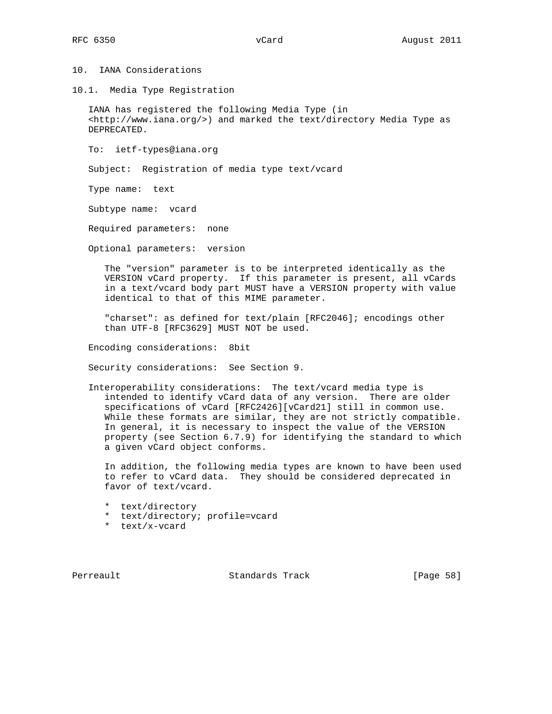10. IANA Considerations

10.1. Media Type Registration

 IANA has registered the following Media Type (in <http://www.iana.org/>) and marked the text/directory Media Type as DEPRECATED.

To: ietf-types@iana.org

Subject: Registration of media type text/vcard

Type name: text

Subtype name: vcard

Required parameters: none

Optional parameters: version

 The "version" parameter is to be interpreted identically as the VERSION vCard property. If this parameter is present, all vCards in a text/vcard body part MUST have a VERSION property with value identical to that of this MIME parameter.

 "charset": as defined for text/plain [RFC2046]; encodings other than UTF-8 [RFC3629] MUST NOT be used.

Encoding considerations: 8bit

Security considerations: See Section 9.

 Interoperability considerations: The text/vcard media type is intended to identify vCard data of any version. There are older specifications of vCard [RFC2426][vCard21] still in common use. While these formats are similar, they are not strictly compatible. In general, it is necessary to inspect the value of the VERSION property (see Section 6.7.9) for identifying the standard to which a given vCard object conforms.

 In addition, the following media types are known to have been used to refer to vCard data. They should be considered deprecated in favor of text/vcard.

- \* text/directory
- \* text/directory; profile=vcard
- \* text/x-vcard

Perreault Standards Track [Page 58]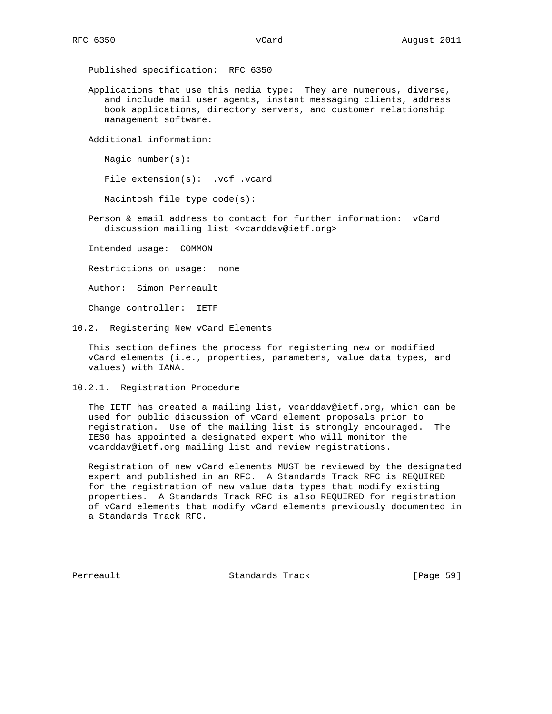Published specification: RFC 6350

 Applications that use this media type: They are numerous, diverse, and include mail user agents, instant messaging clients, address book applications, directory servers, and customer relationship management software.

Additional information:

Magic number(s):

File extension(s): .vcf .vcard

Macintosh file type code(s):

 Person & email address to contact for further information: vCard discussion mailing list <vcarddav@ietf.org>

Intended usage: COMMON

Restrictions on usage: none

Author: Simon Perreault

Change controller: IETF

10.2. Registering New vCard Elements

 This section defines the process for registering new or modified vCard elements (i.e., properties, parameters, value data types, and values) with IANA.

10.2.1. Registration Procedure

 The IETF has created a mailing list, vcarddav@ietf.org, which can be used for public discussion of vCard element proposals prior to registration. Use of the mailing list is strongly encouraged. The IESG has appointed a designated expert who will monitor the vcarddav@ietf.org mailing list and review registrations.

 Registration of new vCard elements MUST be reviewed by the designated expert and published in an RFC. A Standards Track RFC is REQUIRED for the registration of new value data types that modify existing properties. A Standards Track RFC is also REQUIRED for registration of vCard elements that modify vCard elements previously documented in a Standards Track RFC.

Perreault Standards Track [Page 59]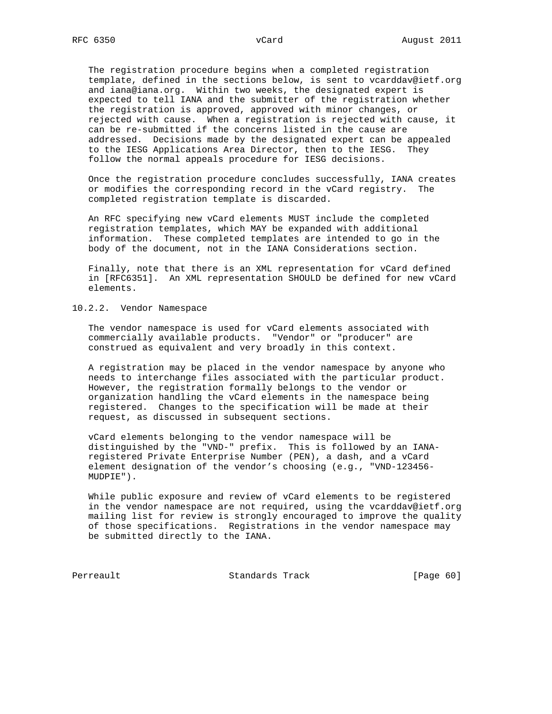The registration procedure begins when a completed registration template, defined in the sections below, is sent to vcarddav@ietf.org and iana@iana.org. Within two weeks, the designated expert is expected to tell IANA and the submitter of the registration whether the registration is approved, approved with minor changes, or rejected with cause. When a registration is rejected with cause, it can be re-submitted if the concerns listed in the cause are addressed. Decisions made by the designated expert can be appealed to the IESG Applications Area Director, then to the IESG. They follow the normal appeals procedure for IESG decisions.

 Once the registration procedure concludes successfully, IANA creates or modifies the corresponding record in the vCard registry. The completed registration template is discarded.

 An RFC specifying new vCard elements MUST include the completed registration templates, which MAY be expanded with additional information. These completed templates are intended to go in the body of the document, not in the IANA Considerations section.

 Finally, note that there is an XML representation for vCard defined in [RFC6351]. An XML representation SHOULD be defined for new vCard elements.

10.2.2. Vendor Namespace

 The vendor namespace is used for vCard elements associated with commercially available products. "Vendor" or "producer" are construed as equivalent and very broadly in this context.

 A registration may be placed in the vendor namespace by anyone who needs to interchange files associated with the particular product. However, the registration formally belongs to the vendor or organization handling the vCard elements in the namespace being registered. Changes to the specification will be made at their request, as discussed in subsequent sections.

 vCard elements belonging to the vendor namespace will be distinguished by the "VND-" prefix. This is followed by an IANA registered Private Enterprise Number (PEN), a dash, and a vCard element designation of the vendor's choosing (e.g., "VND-123456- MUDPIE").

 While public exposure and review of vCard elements to be registered in the vendor namespace are not required, using the vcarddav@ietf.org mailing list for review is strongly encouraged to improve the quality of those specifications. Registrations in the vendor namespace may be submitted directly to the IANA.

Perreault Standards Track [Page 60]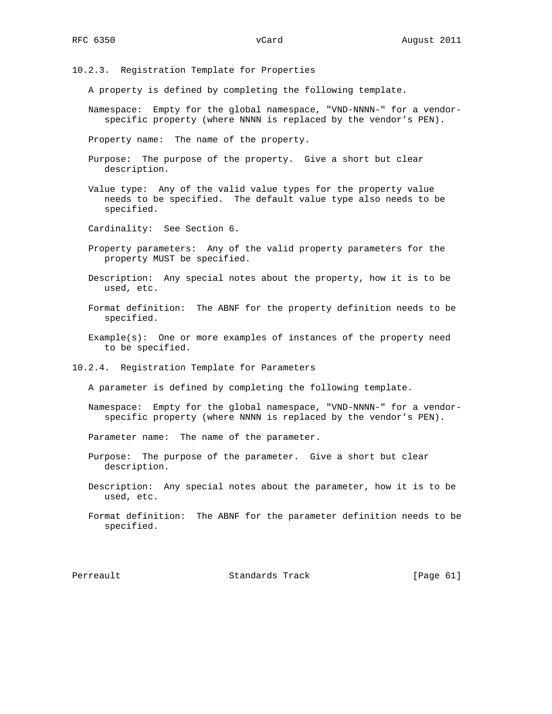10.2.3. Registration Template for Properties

A property is defined by completing the following template.

 Namespace: Empty for the global namespace, "VND-NNNN-" for a vendor specific property (where NNNN is replaced by the vendor's PEN).

Property name: The name of the property.

- Purpose: The purpose of the property. Give a short but clear description.
- Value type: Any of the valid value types for the property value needs to be specified. The default value type also needs to be specified.

Cardinality: See Section 6.

- Property parameters: Any of the valid property parameters for the property MUST be specified.
- Description: Any special notes about the property, how it is to be used, etc.
- Format definition: The ABNF for the property definition needs to be specified.
- Example(s): One or more examples of instances of the property need to be specified.
- 10.2.4. Registration Template for Parameters

A parameter is defined by completing the following template.

 Namespace: Empty for the global namespace, "VND-NNNN-" for a vendor specific property (where NNNN is replaced by the vendor's PEN).

Parameter name: The name of the parameter.

- Purpose: The purpose of the parameter. Give a short but clear description.
- Description: Any special notes about the parameter, how it is to be used, etc.
- Format definition: The ABNF for the parameter definition needs to be specified.

Perreault Standards Track [Page 61]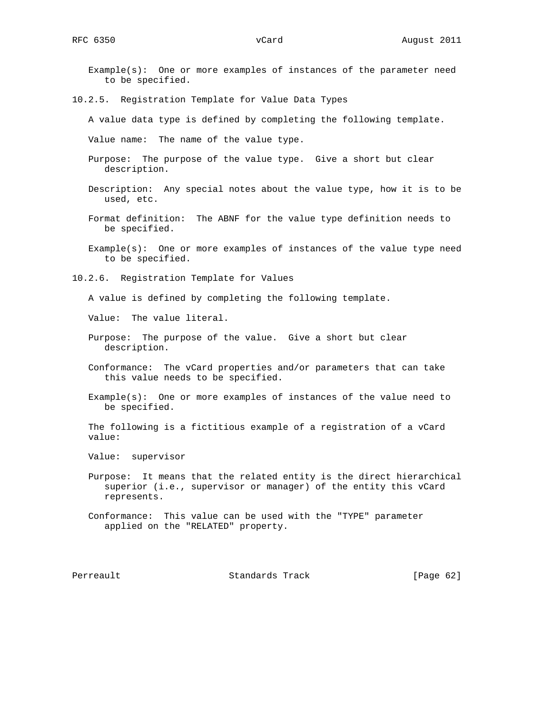Example(s): One or more examples of instances of the parameter need to be specified. 10.2.5. Registration Template for Value Data Types A value data type is defined by completing the following template. Value name: The name of the value type. Purpose: The purpose of the value type. Give a short but clear description. Description: Any special notes about the value type, how it is to be used, etc. Format definition: The ABNF for the value type definition needs to be specified. Example(s): One or more examples of instances of the value type need to be specified. 10.2.6. Registration Template for Values A value is defined by completing the following template. Value: The value literal. Purpose: The purpose of the value. Give a short but clear description. Conformance: The vCard properties and/or parameters that can take this value needs to be specified. Example(s): One or more examples of instances of the value need to be specified. The following is a fictitious example of a registration of a vCard value: Value: supervisor Purpose: It means that the related entity is the direct hierarchical superior (i.e., supervisor or manager) of the entity this vCard represents.

 Conformance: This value can be used with the "TYPE" parameter applied on the "RELATED" property.

Perreault Standards Track [Page 62]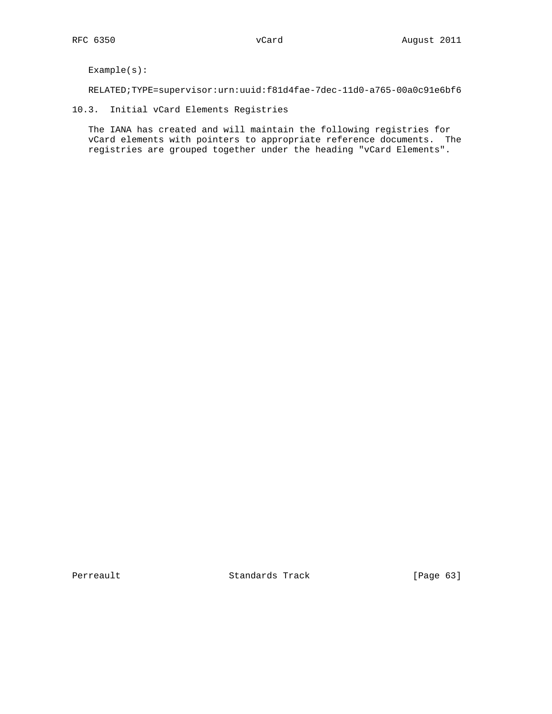Example(s):

RELATED;TYPE=supervisor:urn:uuid:f81d4fae-7dec-11d0-a765-00a0c91e6bf6

10.3. Initial vCard Elements Registries

 The IANA has created and will maintain the following registries for vCard elements with pointers to appropriate reference documents. The registries are grouped together under the heading "vCard Elements".

Perreault Standards Track [Page 63]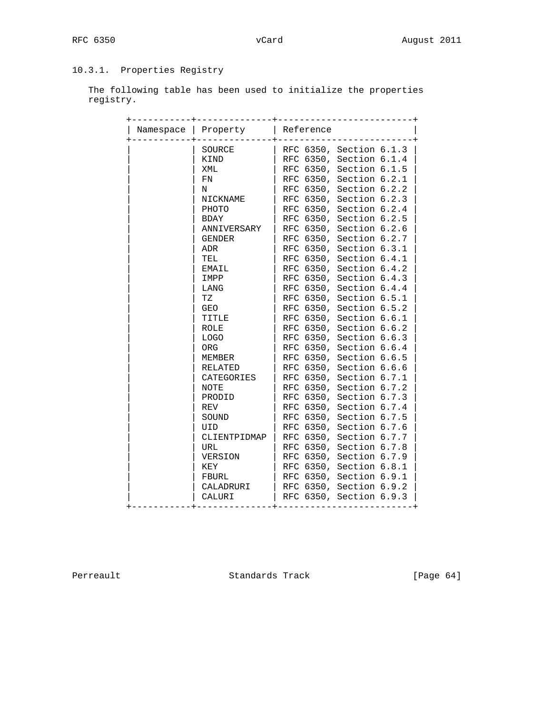# 10.3.1. Properties Registry

 The following table has been used to initialize the properties registry.

|  | Namespace   Property | Reference               |
|--|----------------------|-------------------------|
|  | SOURCE               | RFC 6350, Section 6.1.3 |
|  | KIND                 | RFC 6350, Section 6.1.4 |
|  | XML                  | RFC 6350, Section 6.1.5 |
|  | FN                   | RFC 6350, Section 6.2.1 |
|  | N                    | RFC 6350, Section 6.2.2 |
|  | NICKNAME             | RFC 6350, Section 6.2.3 |
|  | PHOTO                | RFC 6350, Section 6.2.4 |
|  | BDAY                 | RFC 6350, Section 6.2.5 |
|  | ANNIVERSARY          | RFC 6350, Section 6.2.6 |
|  | GENDER               | RFC 6350, Section 6.2.7 |
|  | ADR                  | RFC 6350, Section 6.3.1 |
|  | TEL                  | RFC 6350, Section 6.4.1 |
|  | EMAIL                | RFC 6350, Section 6.4.2 |
|  | IMPP                 | RFC 6350, Section 6.4.3 |
|  | LANG                 | RFC 6350, Section 6.4.4 |
|  | TZ                   | RFC 6350, Section 6.5.1 |
|  | GEO                  | RFC 6350, Section 6.5.2 |
|  | TITLE                | RFC 6350, Section 6.6.1 |
|  | ROLE                 | RFC 6350, Section 6.6.2 |
|  | LOGO                 | RFC 6350, Section 6.6.3 |
|  | ORG                  | RFC 6350, Section 6.6.4 |
|  | MEMBER               | RFC 6350, Section 6.6.5 |
|  | RELATED              | RFC 6350, Section 6.6.6 |
|  | CATEGORIES           | RFC 6350, Section 6.7.1 |
|  | NOTE                 | RFC 6350, Section 6.7.2 |
|  | PRODID               | RFC 6350, Section 6.7.3 |
|  | REV                  | RFC 6350, Section 6.7.4 |
|  | SOUND                | RFC 6350, Section 6.7.5 |
|  | UID                  | RFC 6350, Section 6.7.6 |
|  | CLIENTPIDMAP         | RFC 6350, Section 6.7.7 |
|  | URL                  | RFC 6350, Section 6.7.8 |
|  | VERSION              | RFC 6350, Section 6.7.9 |
|  | KEY                  | RFC 6350, Section 6.8.1 |
|  | FBURL                | RFC 6350, Section 6.9.1 |
|  | CALADRURI            | RFC 6350, Section 6.9.2 |
|  | CALURI               | RFC 6350, Section 6.9.3 |
|  |                      |                         |

Perreault Standards Track [Page 64]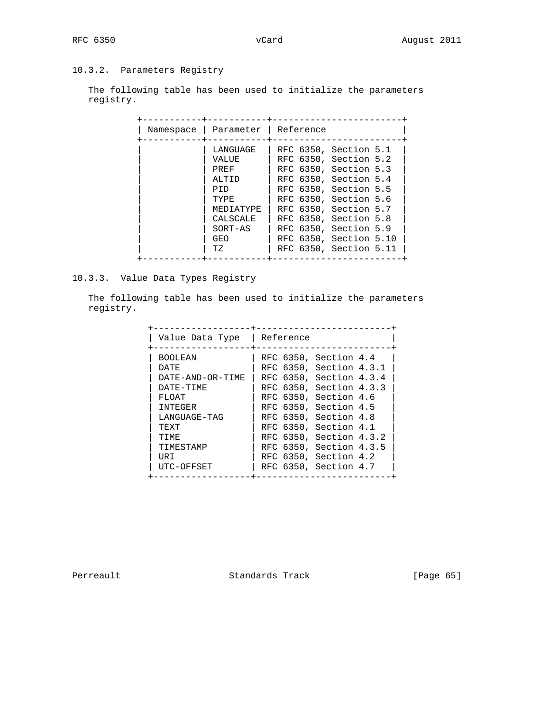# 10.3.2. Parameters Registry

 The following table has been used to initialize the parameters registry.

| Namespace   Parameter   Reference                                                                           |                                                                                                                                                                                                                                                                                   |
|-------------------------------------------------------------------------------------------------------------|-----------------------------------------------------------------------------------------------------------------------------------------------------------------------------------------------------------------------------------------------------------------------------------|
| LANGUAGE<br>VALUE<br>PREF<br>ALTID.<br>PTD<br>TYPE.<br>MEDIATYPE<br>CALSCALE<br>SORT-AS<br><b>GEO</b><br>TZ | RFC 6350, Section 5.1<br>RFC 6350, Section 5.2<br>RFC 6350, Section 5.3<br>RFC 6350, Section 5.4<br>RFC 6350, Section 5.5<br>RFC 6350, Section 5.6<br>RFC 6350, Section 5.7<br>RFC 6350, Section 5.8<br>RFC 6350, Section 5.9<br>RFC 6350, Section 5.10<br>RFC 6350, Section 5.11 |

# 10.3.3. Value Data Types Registry

 The following table has been used to initialize the parameters registry.

| Value Data Type   Reference                                                                                                                       |
|---------------------------------------------------------------------------------------------------------------------------------------------------|
| <b>BOOLEAN</b><br>DATE.<br>DATE-AND-OR-TIME<br>DATE-TIME<br>FLOAT.<br>INTEGER<br>LANGUAGE-TAG<br>TEXT<br>TIME<br>TIMESTAMP<br>TJR T<br>UTC-OFFSET |

Perreault Standards Track [Page 65]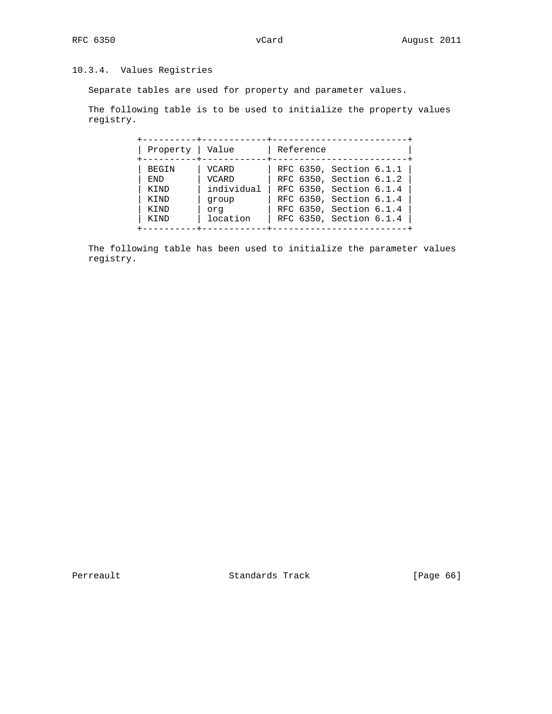# 10.3.4. Values Registries

Separate tables are used for property and parameter values.

 The following table is to be used to initialize the property values registry.

| Property                                                          |
|-------------------------------------------------------------------|
| <b>BEGIN</b><br>END<br><b>KTND</b><br>KIND<br>KIND<br><b>KTND</b> |

 The following table has been used to initialize the parameter values registry.

Perreault Standards Track [Page 66]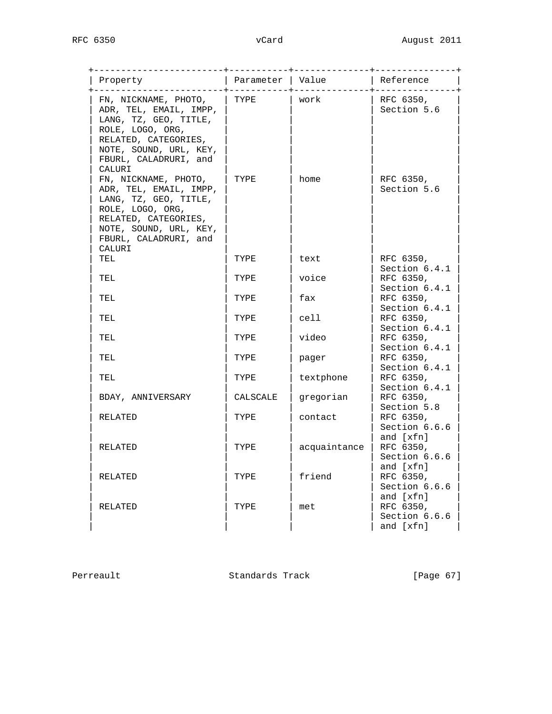| Property<br>$- - - - - - - - -$                                                                                                                                                  | Parameter | Value        | Reference                               |
|----------------------------------------------------------------------------------------------------------------------------------------------------------------------------------|-----------|--------------|-----------------------------------------|
| FN, NICKNAME, PHOTO,<br>ADR, TEL, EMAIL, IMPP,<br>LANG, TZ, GEO, TITLE,<br>ROLE, LOGO, ORG,<br>RELATED, CATEGORIES,<br>NOTE, SOUND, URL, KEY,<br>FBURL, CALADRURI, and<br>CALURI | TYPE      | work         | RFC 6350,<br>Section 5.6                |
| FN, NICKNAME, PHOTO,<br>ADR, TEL, EMAIL, IMPP,<br>LANG, TZ, GEO, TITLE,<br>ROLE, LOGO, ORG,<br>RELATED, CATEGORIES,<br>NOTE, SOUND, URL, KEY,<br>FBURL, CALADRURI, and<br>CALURI | TYPE      | home         | RFC 6350,<br>Section 5.6                |
| TEL                                                                                                                                                                              | TYPE      | text         | RFC 6350,<br>Section 6.4.1              |
| TEL                                                                                                                                                                              | TYPE      | voice        | RFC 6350,<br>Section 6.4.1              |
| TEL                                                                                                                                                                              | TYPE      | fax          | RFC 6350,<br>Section 6.4.1              |
| TEL                                                                                                                                                                              | TYPE      | cell         | RFC 6350,<br>Section 6.4.1              |
| TEL                                                                                                                                                                              | TYPE      | video        | RFC 6350,<br>Section 6.4.1              |
| TEL                                                                                                                                                                              | TYPE      | pager        | RFC 6350,<br>Section 6.4.1              |
| TEL                                                                                                                                                                              | TYPE      | textphone    | RFC 6350,<br>Section 6.4.1              |
| BDAY, ANNIVERSARY                                                                                                                                                                | CALSCALE  | gregorian    | RFC 6350,<br>Section 5.8                |
| RELATED                                                                                                                                                                          | TYPE      | contact      | RFC 6350,<br>Section 6.6.6<br>and [xfn] |
| RELATED                                                                                                                                                                          | TYPE      | acquaintance | RFC 6350,<br>Section 6.6.6              |
| RELATED                                                                                                                                                                          | TYPE      | friend       | and [xfn]<br>RFC 6350,<br>Section 6.6.6 |
| RELATED                                                                                                                                                                          | TYPE      | met          | and [xfn]<br>RFC 6350,<br>Section 6.6.6 |

Perreault Standards Track [Page 67]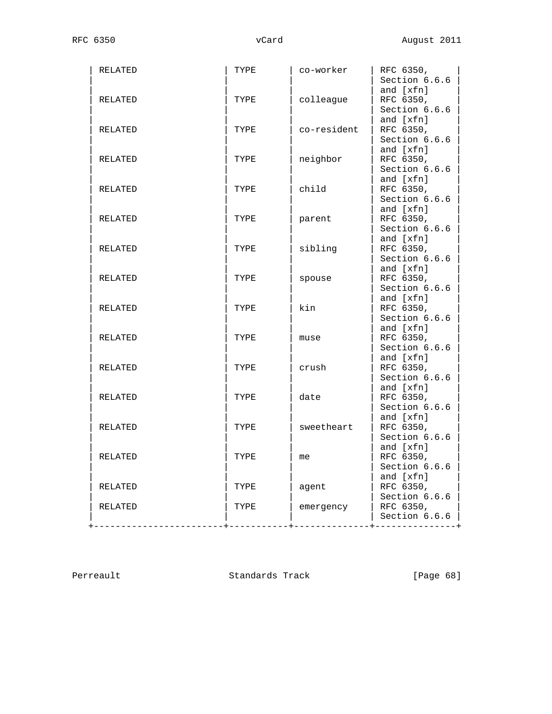| RELATED | TYPE | co-worker   | RFC 6350,<br>Section 6.6.6                           |
|---------|------|-------------|------------------------------------------------------|
| RELATED | TYPE | colleague   | and [xfn]<br>RFC 6350,<br>Section 6.6.6              |
| RELATED | TYPE | co-resident | and [xfn]<br>RFC 6350,<br>Section 6.6.6              |
| RELATED | TYPE | neighbor    | and [xfn]<br>RFC 6350,<br>Section 6.6.6              |
| RELATED | TYPE | child       | and [xfn]<br>RFC 6350,<br>Section 6.6.6              |
| RELATED | TYPE | parent      | and [xfn]<br>RFC 6350,<br>Section 6.6.6              |
| RELATED | TYPE | sibling     | and [xfn]<br>RFC 6350,<br>Section 6.6.6              |
| RELATED | TYPE | spouse      | and [xfn]<br>RFC 6350,<br>Section 6.6.6              |
| RELATED | TYPE | kin         | and [xfn]<br>RFC 6350,<br>Section 6.6.6<br>and [xfn] |
| RELATED | TYPE | muse        | RFC 6350,<br>Section 6.6.6<br>and [xfn]              |
| RELATED | TYPE | crush       | RFC 6350,<br>Section 6.6.6<br>and [xfn]              |
| RELATED | TYPE | date        | RFC 6350,<br>Section 6.6.6<br>and [xfn]              |
| RELATED | TYPE | sweetheart  | RFC 6350,<br>Section 6.6.6<br>and [xfn]              |
| RELATED | TYPE | me          | RFC 6350,<br>Section 6.6.6<br>and [xfn]              |
| RELATED | TYPE | agent       | RFC 6350,<br>Section 6.6.6                           |
| RELATED | TYPE | emergency   | RFC 6350,<br>Section 6.6.6                           |

Perreault Standards Track [Page 68]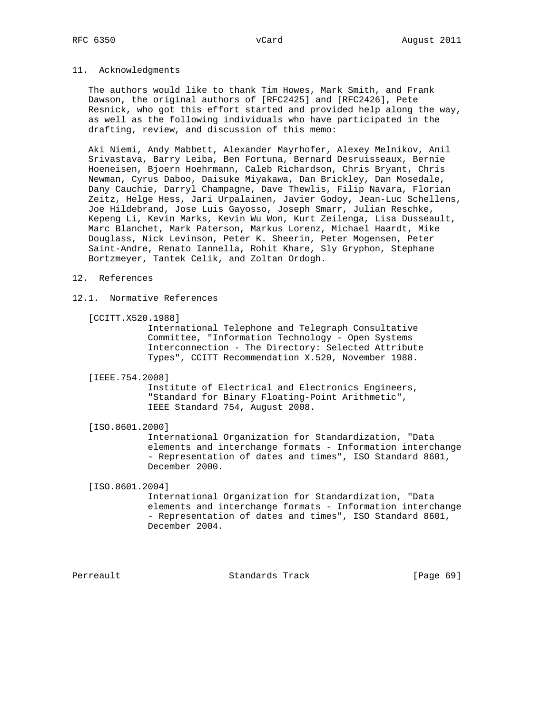# 11. Acknowledgments

 The authors would like to thank Tim Howes, Mark Smith, and Frank Dawson, the original authors of [RFC2425] and [RFC2426], Pete Resnick, who got this effort started and provided help along the way, as well as the following individuals who have participated in the drafting, review, and discussion of this memo:

 Aki Niemi, Andy Mabbett, Alexander Mayrhofer, Alexey Melnikov, Anil Srivastava, Barry Leiba, Ben Fortuna, Bernard Desruisseaux, Bernie Hoeneisen, Bjoern Hoehrmann, Caleb Richardson, Chris Bryant, Chris Newman, Cyrus Daboo, Daisuke Miyakawa, Dan Brickley, Dan Mosedale, Dany Cauchie, Darryl Champagne, Dave Thewlis, Filip Navara, Florian Zeitz, Helge Hess, Jari Urpalainen, Javier Godoy, Jean-Luc Schellens, Joe Hildebrand, Jose Luis Gayosso, Joseph Smarr, Julian Reschke, Kepeng Li, Kevin Marks, Kevin Wu Won, Kurt Zeilenga, Lisa Dusseault, Marc Blanchet, Mark Paterson, Markus Lorenz, Michael Haardt, Mike Douglass, Nick Levinson, Peter K. Sheerin, Peter Mogensen, Peter Saint-Andre, Renato Iannella, Rohit Khare, Sly Gryphon, Stephane Bortzmeyer, Tantek Celik, and Zoltan Ordogh.

### 12. References

12.1. Normative References

```
 [CCITT.X520.1988]
```
 International Telephone and Telegraph Consultative Committee, "Information Technology - Open Systems Interconnection - The Directory: Selected Attribute Types", CCITT Recommendation X.520, November 1988.

[IEEE.754.2008]

 Institute of Electrical and Electronics Engineers, "Standard for Binary Floating-Point Arithmetic", IEEE Standard 754, August 2008.

[ISO.8601.2000]

 International Organization for Standardization, "Data elements and interchange formats - Information interchange - Representation of dates and times", ISO Standard 8601, December 2000.

[ISO.8601.2004]

 International Organization for Standardization, "Data elements and interchange formats - Information interchange - Representation of dates and times", ISO Standard 8601, December 2004.

Perreault Standards Track [Page 69]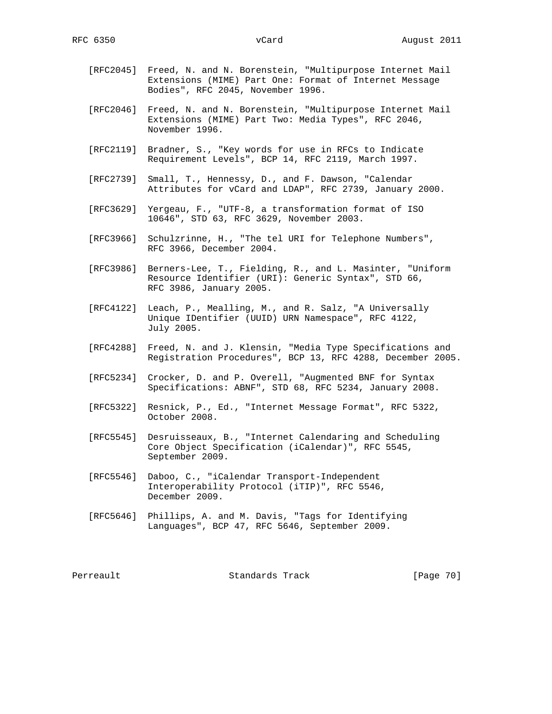- [RFC2045] Freed, N. and N. Borenstein, "Multipurpose Internet Mail Extensions (MIME) Part One: Format of Internet Message Bodies", RFC 2045, November 1996.
- [RFC2046] Freed, N. and N. Borenstein, "Multipurpose Internet Mail Extensions (MIME) Part Two: Media Types", RFC 2046, November 1996.
- [RFC2119] Bradner, S., "Key words for use in RFCs to Indicate Requirement Levels", BCP 14, RFC 2119, March 1997.
- [RFC2739] Small, T., Hennessy, D., and F. Dawson, "Calendar Attributes for vCard and LDAP", RFC 2739, January 2000.
- [RFC3629] Yergeau, F., "UTF-8, a transformation format of ISO 10646", STD 63, RFC 3629, November 2003.
- [RFC3966] Schulzrinne, H., "The tel URI for Telephone Numbers", RFC 3966, December 2004.
- [RFC3986] Berners-Lee, T., Fielding, R., and L. Masinter, "Uniform Resource Identifier (URI): Generic Syntax", STD 66, RFC 3986, January 2005.
- [RFC4122] Leach, P., Mealling, M., and R. Salz, "A Universally Unique IDentifier (UUID) URN Namespace", RFC 4122, July 2005.
- [RFC4288] Freed, N. and J. Klensin, "Media Type Specifications and Registration Procedures", BCP 13, RFC 4288, December 2005.
- [RFC5234] Crocker, D. and P. Overell, "Augmented BNF for Syntax Specifications: ABNF", STD 68, RFC 5234, January 2008.
- [RFC5322] Resnick, P., Ed., "Internet Message Format", RFC 5322, October 2008.
- [RFC5545] Desruisseaux, B., "Internet Calendaring and Scheduling Core Object Specification (iCalendar)", RFC 5545, September 2009.
- [RFC5546] Daboo, C., "iCalendar Transport-Independent Interoperability Protocol (iTIP)", RFC 5546, December 2009.
- [RFC5646] Phillips, A. and M. Davis, "Tags for Identifying Languages", BCP 47, RFC 5646, September 2009.

Perreault Standards Track [Page 70]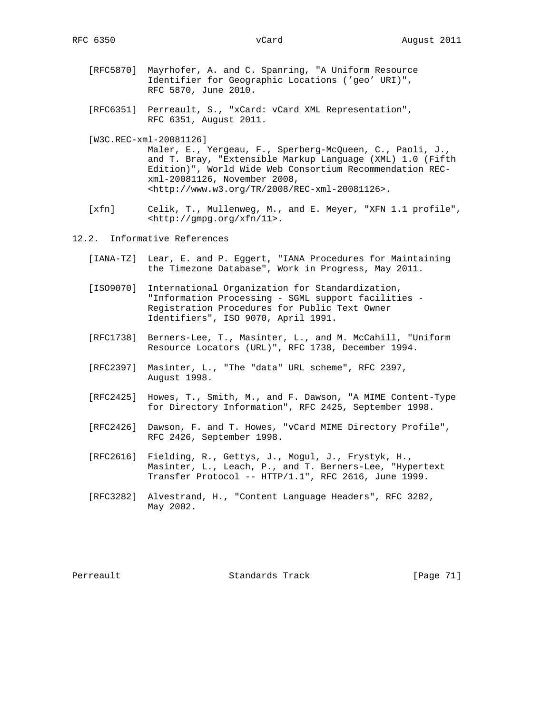- [RFC5870] Mayrhofer, A. and C. Spanring, "A Uniform Resource Identifier for Geographic Locations ('geo' URI)", RFC 5870, June 2010.
- [RFC6351] Perreault, S., "xCard: vCard XML Representation", RFC 6351, August 2011.

[W3C.REC-xml-20081126]

- Maler, E., Yergeau, F., Sperberg-McQueen, C., Paoli, J., and T. Bray, "Extensible Markup Language (XML) 1.0 (Fifth Edition)", World Wide Web Consortium Recommendation REC xml-20081126, November 2008, <http://www.w3.org/TR/2008/REC-xml-20081126>.
- [xfn] Celik, T., Mullenweg, M., and E. Meyer, "XFN 1.1 profile", <http://gmpg.org/xfn/11>.
- 12.2. Informative References
	- [IANA-TZ] Lear, E. and P. Eggert, "IANA Procedures for Maintaining the Timezone Database", Work in Progress, May 2011.
	- [ISO9070] International Organization for Standardization, "Information Processing - SGML support facilities - Registration Procedures for Public Text Owner Identifiers", ISO 9070, April 1991.
	- [RFC1738] Berners-Lee, T., Masinter, L., and M. McCahill, "Uniform Resource Locators (URL)", RFC 1738, December 1994.
	- [RFC2397] Masinter, L., "The "data" URL scheme", RFC 2397, August 1998.
	- [RFC2425] Howes, T., Smith, M., and F. Dawson, "A MIME Content-Type for Directory Information", RFC 2425, September 1998.
	- [RFC2426] Dawson, F. and T. Howes, "vCard MIME Directory Profile", RFC 2426, September 1998.
	- [RFC2616] Fielding, R., Gettys, J., Mogul, J., Frystyk, H., Masinter, L., Leach, P., and T. Berners-Lee, "Hypertext Transfer Protocol -- HTTP/1.1", RFC 2616, June 1999.
	- [RFC3282] Alvestrand, H., "Content Language Headers", RFC 3282, May 2002.

Perreault Standards Track [Page 71]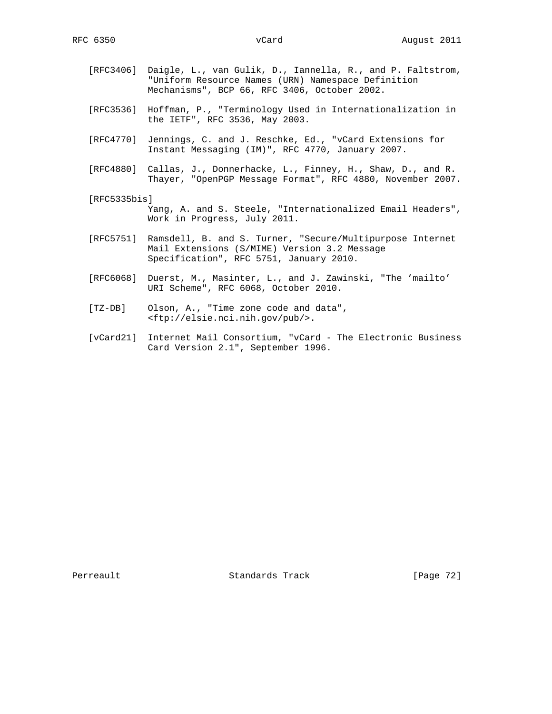- [RFC3406] Daigle, L., van Gulik, D., Iannella, R., and P. Faltstrom, "Uniform Resource Names (URN) Namespace Definition Mechanisms", BCP 66, RFC 3406, October 2002.
- [RFC3536] Hoffman, P., "Terminology Used in Internationalization in the IETF", RFC 3536, May 2003.
- [RFC4770] Jennings, C. and J. Reschke, Ed., "vCard Extensions for Instant Messaging (IM)", RFC 4770, January 2007.
- [RFC4880] Callas, J., Donnerhacke, L., Finney, H., Shaw, D., and R. Thayer, "OpenPGP Message Format", RFC 4880, November 2007.
- [RFC5335bis] Yang, A. and S. Steele, "Internationalized Email Headers", Work in Progress, July 2011.
- [RFC5751] Ramsdell, B. and S. Turner, "Secure/Multipurpose Internet Mail Extensions (S/MIME) Version 3.2 Message Specification", RFC 5751, January 2010.
- [RFC6068] Duerst, M., Masinter, L., and J. Zawinski, "The 'mailto' URI Scheme", RFC 6068, October 2010.
- [TZ-DB] Olson, A., "Time zone code and data", <ftp://elsie.nci.nih.gov/pub/>.
- [vCard21] Internet Mail Consortium, "vCard The Electronic Business Card Version 2.1", September 1996.

Perreault Standards Track [Page 72]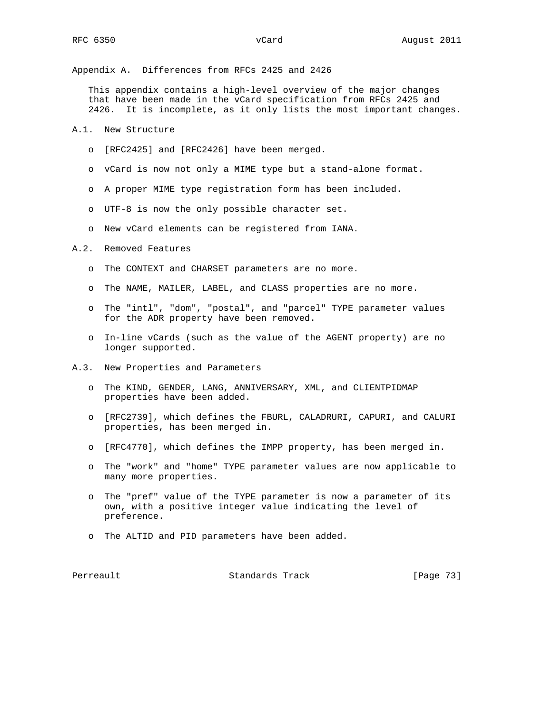Appendix A. Differences from RFCs 2425 and 2426

 This appendix contains a high-level overview of the major changes that have been made in the vCard specification from RFCs 2425 and 2426. It is incomplete, as it only lists the most important changes.

- A.1. New Structure
	- o [RFC2425] and [RFC2426] have been merged.
	- o vCard is now not only a MIME type but a stand-alone format.
	- o A proper MIME type registration form has been included.
	- o UTF-8 is now the only possible character set.
	- o New vCard elements can be registered from IANA.
- A.2. Removed Features
	- o The CONTEXT and CHARSET parameters are no more.
	- o The NAME, MAILER, LABEL, and CLASS properties are no more.
	- o The "intl", "dom", "postal", and "parcel" TYPE parameter values for the ADR property have been removed.
	- o In-line vCards (such as the value of the AGENT property) are no longer supported.
- A.3. New Properties and Parameters
	- o The KIND, GENDER, LANG, ANNIVERSARY, XML, and CLIENTPIDMAP properties have been added.
	- o [RFC2739], which defines the FBURL, CALADRURI, CAPURI, and CALURI properties, has been merged in.
	- o [RFC4770], which defines the IMPP property, has been merged in.
	- o The "work" and "home" TYPE parameter values are now applicable to many more properties.
	- o The "pref" value of the TYPE parameter is now a parameter of its own, with a positive integer value indicating the level of preference.
	- o The ALTID and PID parameters have been added.

Perreault Standards Track [Page 73]